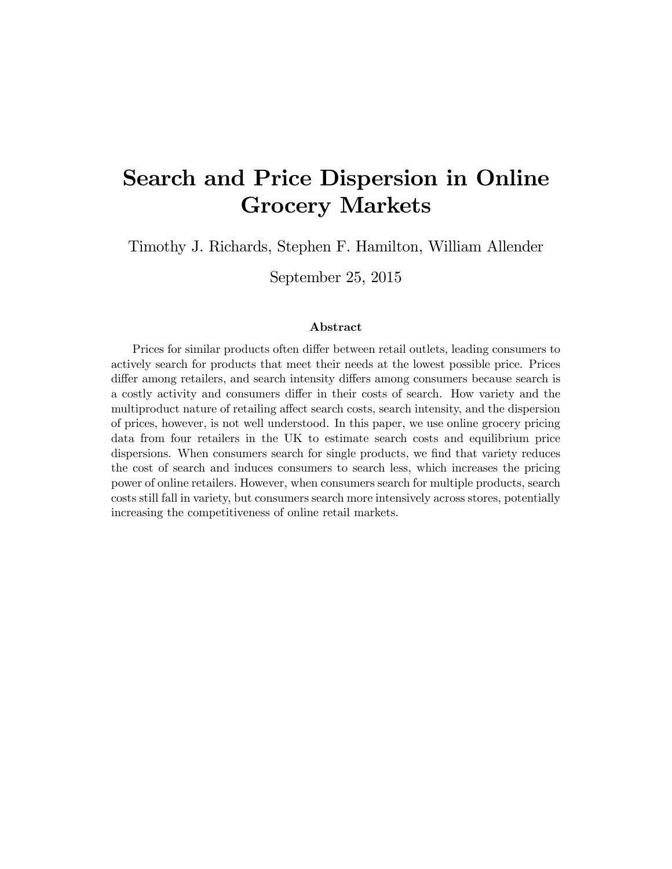# Search and Price Dispersion in Online Grocery Markets

Timothy J. Richards, Stephen F. Hamilton, William Allender

September 25, 2015

#### Abstract

Prices for similar products often differ between retail outlets, leading consumers to actively search for products that meet their needs at the lowest possible price. Prices differ among retailers, and search intensity differs among consumers because search is a costly activity and consumers differ in their costs of search. How variety and the multiproduct nature of retailing affect search costs, search intensity, and the dispersion of prices, however, is not well understood. In this paper, we use online grocery pricing data from four retailers in the UK to estimate search costs and equilibrium price dispersions. When consumers search for single products, we find that variety reduces the cost of search and induces consumers to search less, which increases the pricing power of online retailers. However, when consumers search for multiple products, search costs still fall in variety, but consumers search more intensively across stores, potentially increasing the competitiveness of online retail markets.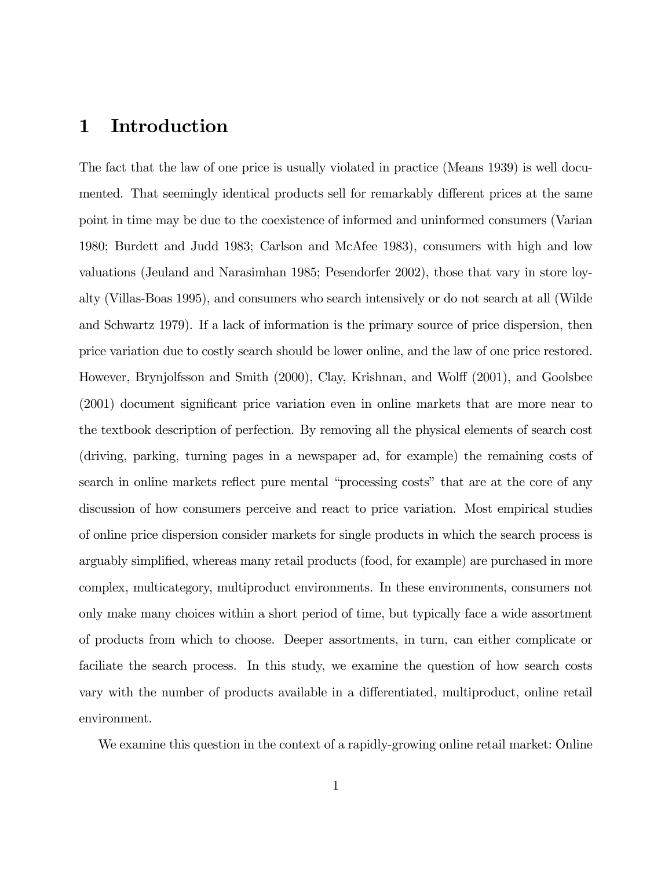## 1 Introduction

The fact that the law of one price is usually violated in practice (Means 1939) is well documented. That seemingly identical products sell for remarkably different prices at the same point in time may be due to the coexistence of informed and uninformed consumers (Varian 1980; Burdett and Judd 1983; Carlson and McAfee 1983), consumers with high and low valuations (Jeuland and Narasimhan 1985; Pesendorfer 2002), those that vary in store loyalty (Villas-Boas 1995), and consumers who search intensively or do not search at all (Wilde and Schwartz 1979). If a lack of information is the primary source of price dispersion, then price variation due to costly search should be lower online, and the law of one price restored. However, Brynjolfsson and Smith (2000), Clay, Krishnan, and Wolff (2001), and Goolsbee (2001) document significant price variation even in online markets that are more near to the textbook description of perfection. By removing all the physical elements of search cost (driving, parking, turning pages in a newspaper ad, for example) the remaining costs of search in online markets reflect pure mental "processing costs" that are at the core of any discussion of how consumers perceive and react to price variation. Most empirical studies of online price dispersion consider markets for single products in which the search process is arguably simplified, whereas many retail products (food, for example) are purchased in more complex, multicategory, multiproduct environments. In these environments, consumers not only make many choices within a short period of time, but typically face a wide assortment of products from which to choose. Deeper assortments, in turn, can either complicate or faciliate the search process. In this study, we examine the question of how search costs vary with the number of products available in a differentiated, multiproduct, online retail environment.

We examine this question in the context of a rapidly-growing online retail market: Online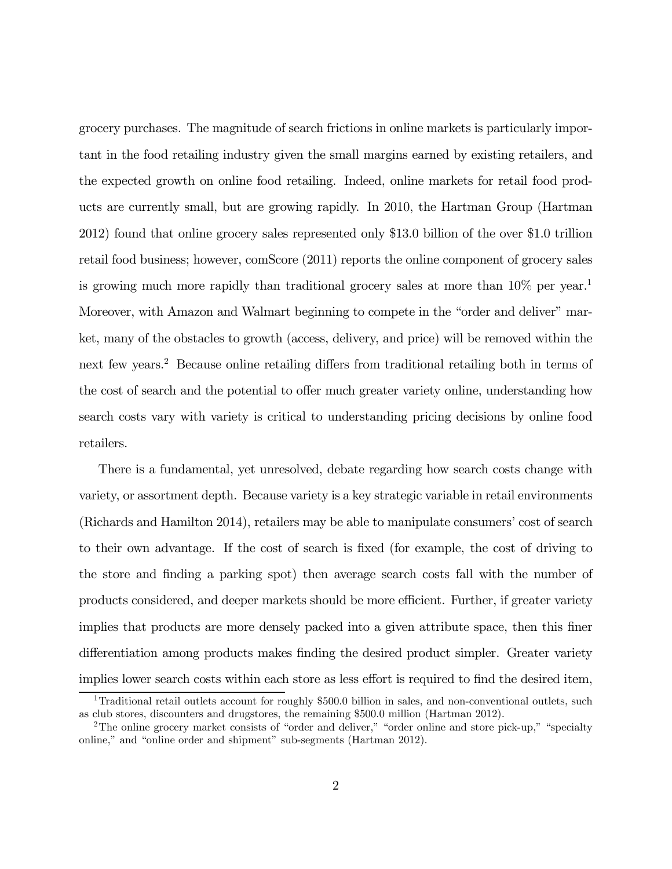grocery purchases. The magnitude of search frictions in online markets is particularly important in the food retailing industry given the small margins earned by existing retailers, and the expected growth on online food retailing. Indeed, online markets for retail food products are currently small, but are growing rapidly. In 2010, the Hartman Group (Hartman 2012) found that online grocery sales represented only \$13.0 billion of the over \$1.0 trillion retail food business; however, comScore (2011) reports the online component of grocery sales is growing much more rapidly than traditional grocery sales at more than  $10\%$  per year.<sup>1</sup> Moreover, with Amazon and Walmart beginning to compete in the "order and deliver" market, many of the obstacles to growth (access, delivery, and price) will be removed within the next few years.2 Because online retailing differs from traditional retailing both in terms of the cost of search and the potential to offer much greater variety online, understanding how search costs vary with variety is critical to understanding pricing decisions by online food retailers.

There is a fundamental, yet unresolved, debate regarding how search costs change with variety, or assortment depth. Because variety is a key strategic variable in retail environments (Richards and Hamilton 2014), retailers may be able to manipulate consumers' cost of search to their own advantage. If the cost of search is fixed (for example, the cost of driving to the store and finding a parking spot) then average search costs fall with the number of products considered, and deeper markets should be more efficient. Further, if greater variety implies that products are more densely packed into a given attribute space, then this finer differentiation among products makes finding the desired product simpler. Greater variety implies lower search costs within each store as less effort is required to find the desired item,

<sup>&</sup>lt;sup>1</sup>Traditional retail outlets account for roughly  $$500.0$  billion in sales, and non-conventional outlets, such as club stores, discounters and drugstores, the remaining \$500.0 million (Hartman 2012).

<sup>&</sup>lt;sup>2</sup>The online grocery market consists of "order and deliver," "order online and store pick-up," "specialty online," and "online order and shipment" sub-segments (Hartman 2012).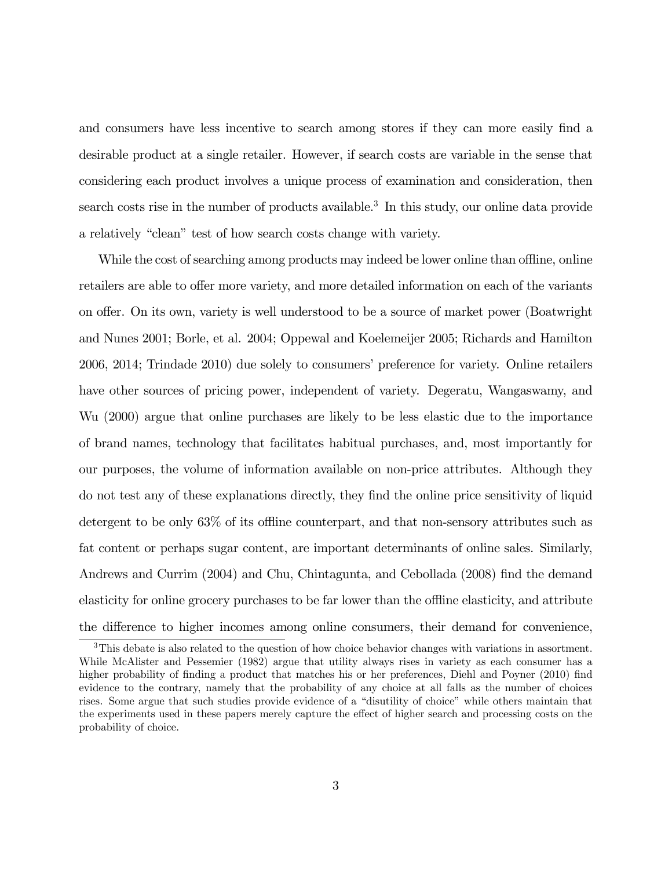and consumers have less incentive to search among stores if they can more easily find a desirable product at a single retailer. However, if search costs are variable in the sense that considering each product involves a unique process of examination and consideration, then search costs rise in the number of products available.<sup>3</sup> In this study, our online data provide a relatively "clean" test of how search costs change with variety.

While the cost of searching among products may indeed be lower online than offline, online retailers are able to offer more variety, and more detailed information on each of the variants on offer. On its own, variety is well understood to be a source of market power (Boatwright and Nunes 2001; Borle, et al. 2004; Oppewal and Koelemeijer 2005; Richards and Hamilton 2006, 2014; Trindade 2010) due solely to consumers' preference for variety. Online retailers have other sources of pricing power, independent of variety. Degeratu, Wangaswamy, and Wu (2000) argue that online purchases are likely to be less elastic due to the importance of brand names, technology that facilitates habitual purchases, and, most importantly for our purposes, the volume of information available on non-price attributes. Although they do not test any of these explanations directly, they find the online price sensitivity of liquid detergent to be only 63% of its offline counterpart, and that non-sensory attributes such as fat content or perhaps sugar content, are important determinants of online sales. Similarly, Andrews and Currim (2004) and Chu, Chintagunta, and Cebollada (2008) find the demand elasticity for online grocery purchases to be far lower than the offline elasticity, and attribute the difference to higher incomes among online consumers, their demand for convenience,

<sup>&</sup>lt;sup>3</sup>This debate is also related to the question of how choice behavior changes with variations in assortment. While McAlister and Pessemier (1982) argue that utility always rises in variety as each consumer has a higher probability of finding a product that matches his or her preferences, Diehl and Poyner (2010) find evidence to the contrary, namely that the probability of any choice at all falls as the number of choices rises. Some argue that such studies provide evidence of a "disutility of choice" while others maintain that the experiments used in these papers merely capture the effect of higher search and processing costs on the probability of choice.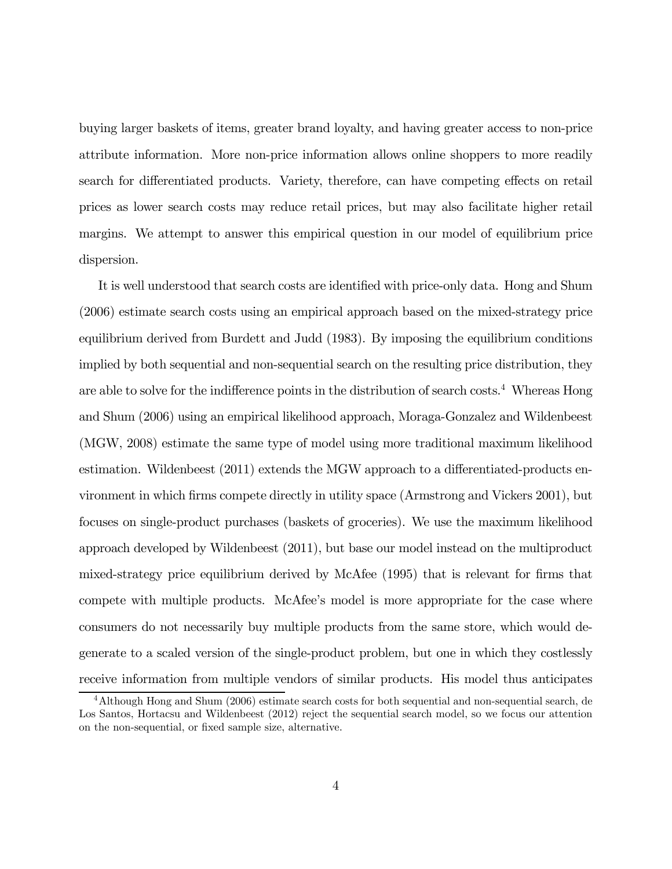buying larger baskets of items, greater brand loyalty, and having greater access to non-price attribute information. More non-price information allows online shoppers to more readily search for differentiated products. Variety, therefore, can have competing effects on retail prices as lower search costs may reduce retail prices, but may also facilitate higher retail margins. We attempt to answer this empirical question in our model of equilibrium price dispersion.

It is well understood that search costs are identified with price-only data. Hong and Shum (2006) estimate search costs using an empirical approach based on the mixed-strategy price equilibrium derived from Burdett and Judd (1983). By imposing the equilibrium conditions implied by both sequential and non-sequential search on the resulting price distribution, they are able to solve for the indifference points in the distribution of search costs.<sup>4</sup> Whereas Hong and Shum (2006) using an empirical likelihood approach, Moraga-Gonzalez and Wildenbeest (MGW, 2008) estimate the same type of model using more traditional maximum likelihood estimation. Wildenbeest (2011) extends the MGW approach to a differentiated-products environment in which firms compete directly in utility space (Armstrong and Vickers 2001), but focuses on single-product purchases (baskets of groceries). We use the maximum likelihood approach developed by Wildenbeest (2011), but base our model instead on the multiproduct mixed-strategy price equilibrium derived by McAfee (1995) that is relevant for firms that compete with multiple products. McAfee's model is more appropriate for the case where consumers do not necessarily buy multiple products from the same store, which would degenerate to a scaled version of the single-product problem, but one in which they costlessly receive information from multiple vendors of similar products. His model thus anticipates

<sup>4</sup>Although Hong and Shum (2006) estimate search costs for both sequential and non-sequential search, de Los Santos, Hortacsu and Wildenbeest (2012) reject the sequential search model, so we focus our attention on the non-sequential, or fixed sample size, alternative.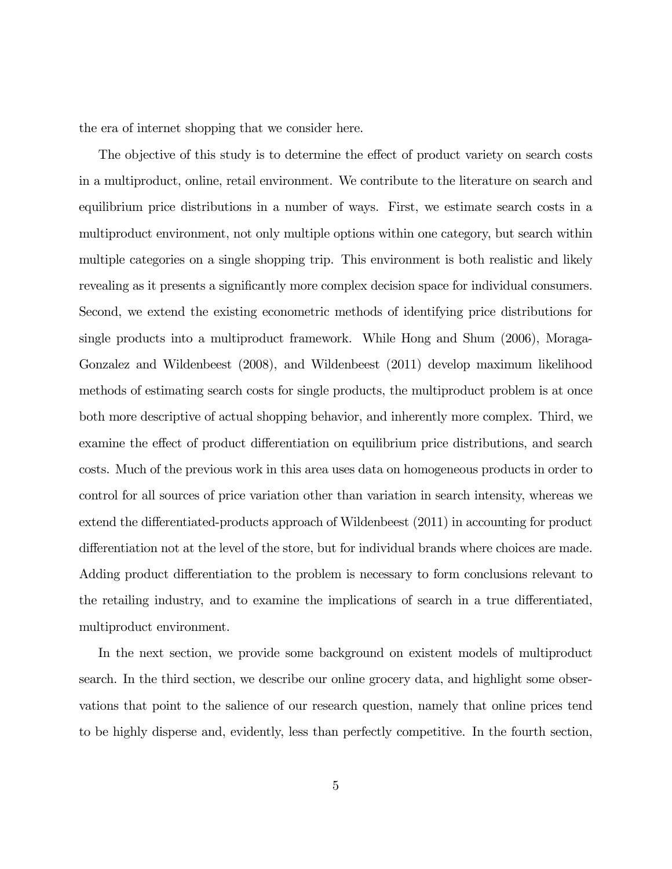the era of internet shopping that we consider here.

The objective of this study is to determine the effect of product variety on search costs in a multiproduct, online, retail environment. We contribute to the literature on search and equilibrium price distributions in a number of ways. First, we estimate search costs in a multiproduct environment, not only multiple options within one category, but search within multiple categories on a single shopping trip. This environment is both realistic and likely revealing as it presents a significantly more complex decision space for individual consumers. Second, we extend the existing econometric methods of identifying price distributions for single products into a multiproduct framework. While Hong and Shum (2006), Moraga-Gonzalez and Wildenbeest (2008), and Wildenbeest (2011) develop maximum likelihood methods of estimating search costs for single products, the multiproduct problem is at once both more descriptive of actual shopping behavior, and inherently more complex. Third, we examine the effect of product differentiation on equilibrium price distributions, and search costs. Much of the previous work in this area uses data on homogeneous products in order to control for all sources of price variation other than variation in search intensity, whereas we extend the differentiated-products approach of Wildenbeest (2011) in accounting for product differentiation not at the level of the store, but for individual brands where choices are made. Adding product differentiation to the problem is necessary to form conclusions relevant to the retailing industry, and to examine the implications of search in a true differentiated, multiproduct environment.

In the next section, we provide some background on existent models of multiproduct search. In the third section, we describe our online grocery data, and highlight some observations that point to the salience of our research question, namely that online prices tend to be highly disperse and, evidently, less than perfectly competitive. In the fourth section,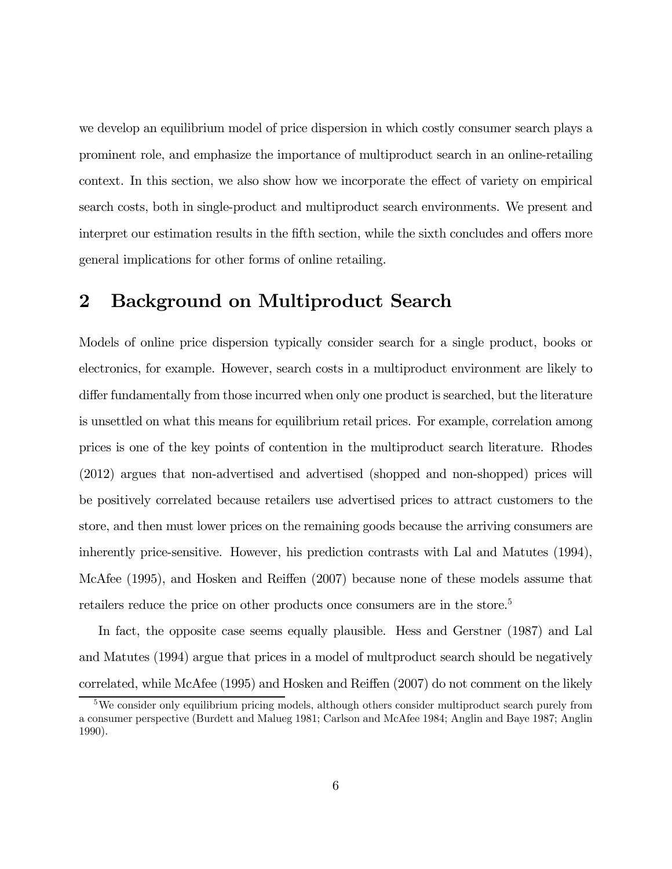we develop an equilibrium model of price dispersion in which costly consumer search plays a prominent role, and emphasize the importance of multiproduct search in an online-retailing context. In this section, we also show how we incorporate the effect of variety on empirical search costs, both in single-product and multiproduct search environments. We present and interpret our estimation results in the fifth section, while the sixth concludes and offers more general implications for other forms of online retailing.

### 2 Background on Multiproduct Search

Models of online price dispersion typically consider search for a single product, books or electronics, for example. However, search costs in a multiproduct environment are likely to differ fundamentally from those incurred when only one product is searched, but the literature is unsettled on what this means for equilibrium retail prices. For example, correlation among prices is one of the key points of contention in the multiproduct search literature. Rhodes (2012) argues that non-advertised and advertised (shopped and non-shopped) prices will be positively correlated because retailers use advertised prices to attract customers to the store, and then must lower prices on the remaining goods because the arriving consumers are inherently price-sensitive. However, his prediction contrasts with Lal and Matutes (1994), McAfee (1995), and Hosken and Reiffen (2007) because none of these models assume that retailers reduce the price on other products once consumers are in the store.<sup>5</sup>

In fact, the opposite case seems equally plausible. Hess and Gerstner (1987) and Lal and Matutes (1994) argue that prices in a model of multproduct search should be negatively correlated, while McAfee (1995) and Hosken and Reiffen (2007) do not comment on the likely

<sup>&</sup>lt;sup>5</sup>We consider only equilibrium pricing models, although others consider multiproduct search purely from a consumer perspective (Burdett and Malueg 1981; Carlson and McAfee 1984; Anglin and Baye 1987; Anglin 1990).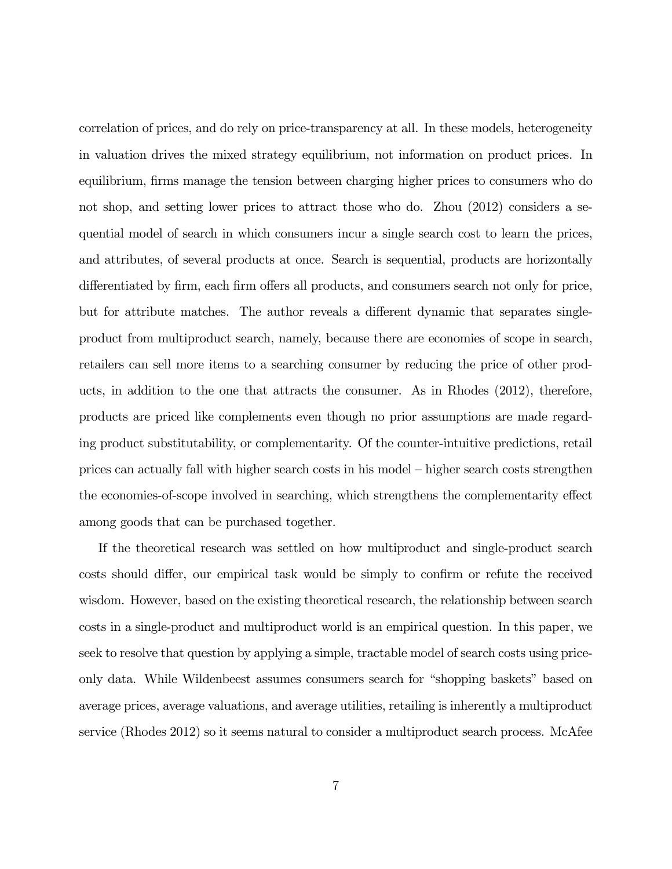correlation of prices, and do rely on price-transparency at all. In these models, heterogeneity in valuation drives the mixed strategy equilibrium, not information on product prices. In equilibrium, firms manage the tension between charging higher prices to consumers who do not shop, and setting lower prices to attract those who do. Zhou (2012) considers a sequential model of search in which consumers incur a single search cost to learn the prices, and attributes, of several products at once. Search is sequential, products are horizontally differentiated by firm, each firm offers all products, and consumers search not only for price, but for attribute matches. The author reveals a different dynamic that separates singleproduct from multiproduct search, namely, because there are economies of scope in search, retailers can sell more items to a searching consumer by reducing the price of other products, in addition to the one that attracts the consumer. As in Rhodes (2012), therefore, products are priced like complements even though no prior assumptions are made regarding product substitutability, or complementarity. Of the counter-intuitive predictions, retail prices can actually fall with higher search costs in his model — higher search costs strengthen the economies-of-scope involved in searching, which strengthens the complementarity effect among goods that can be purchased together.

If the theoretical research was settled on how multiproduct and single-product search costs should differ, our empirical task would be simply to confirm or refute the received wisdom. However, based on the existing theoretical research, the relationship between search costs in a single-product and multiproduct world is an empirical question. In this paper, we seek to resolve that question by applying a simple, tractable model of search costs using priceonly data. While Wildenbeest assumes consumers search for "shopping baskets" based on average prices, average valuations, and average utilities, retailing is inherently a multiproduct service (Rhodes 2012) so it seems natural to consider a multiproduct search process. McAfee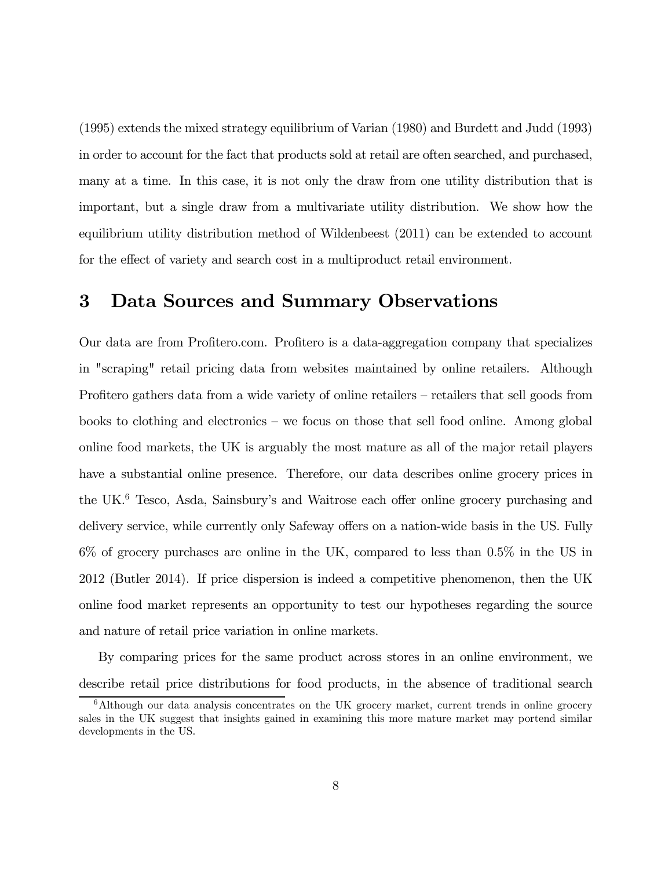(1995) extends the mixed strategy equilibrium of Varian (1980) and Burdett and Judd (1993) in order to account for the fact that products sold at retail are often searched, and purchased, many at a time. In this case, it is not only the draw from one utility distribution that is important, but a single draw from a multivariate utility distribution. We show how the equilibrium utility distribution method of Wildenbeest (2011) can be extended to account for the effect of variety and search cost in a multiproduct retail environment.

### 3 Data Sources and Summary Observations

Our data are from Profitero.com. Profitero is a data-aggregation company that specializes in "scraping" retail pricing data from websites maintained by online retailers. Although Profitero gathers data from a wide variety of online retailers — retailers that sell goods from books to clothing and electronics — we focus on those that sell food online. Among global online food markets, the UK is arguably the most mature as all of the major retail players have a substantial online presence. Therefore, our data describes online grocery prices in the UK.<sup>6</sup> Tesco, Asda, Sainsbury's and Waitrose each offer online grocery purchasing and delivery service, while currently only Safeway offers on a nation-wide basis in the US. Fully 6% of grocery purchases are online in the UK, compared to less than 0.5% in the US in 2012 (Butler 2014). If price dispersion is indeed a competitive phenomenon, then the UK online food market represents an opportunity to test our hypotheses regarding the source and nature of retail price variation in online markets.

By comparing prices for the same product across stores in an online environment, we describe retail price distributions for food products, in the absence of traditional search

 $6$ Although our data analysis concentrates on the UK grocery market, current trends in online grocery sales in the UK suggest that insights gained in examining this more mature market may portend similar developments in the US.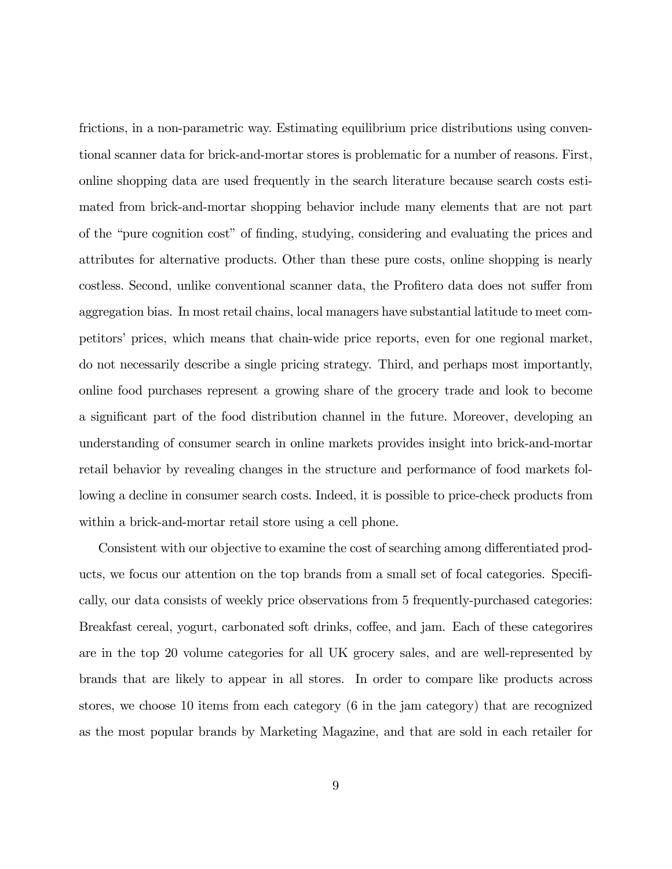frictions, in a non-parametric way. Estimating equilibrium price distributions using conventional scanner data for brick-and-mortar stores is problematic for a number of reasons. First, online shopping data are used frequently in the search literature because search costs estimated from brick-and-mortar shopping behavior include many elements that are not part of the "pure cognition cost" of finding, studying, considering and evaluating the prices and attributes for alternative products. Other than these pure costs, online shopping is nearly costless. Second, unlike conventional scanner data, the Profitero data does not suffer from aggregation bias. In most retail chains, local managers have substantial latitude to meet competitors' prices, which means that chain-wide price reports, even for one regional market, do not necessarily describe a single pricing strategy. Third, and perhaps most importantly, online food purchases represent a growing share of the grocery trade and look to become a significant part of the food distribution channel in the future. Moreover, developing an understanding of consumer search in online markets provides insight into brick-and-mortar retail behavior by revealing changes in the structure and performance of food markets following a decline in consumer search costs. Indeed, it is possible to price-check products from within a brick-and-mortar retail store using a cell phone.

Consistent with our objective to examine the cost of searching among differentiated products, we focus our attention on the top brands from a small set of focal categories. Specifically, our data consists of weekly price observations from 5 frequently-purchased categories: Breakfast cereal, yogurt, carbonated soft drinks, coffee, and jam. Each of these categorires are in the top 20 volume categories for all UK grocery sales, and are well-represented by brands that are likely to appear in all stores. In order to compare like products across stores, we choose 10 items from each category (6 in the jam category) that are recognized as the most popular brands by Marketing Magazine, and that are sold in each retailer for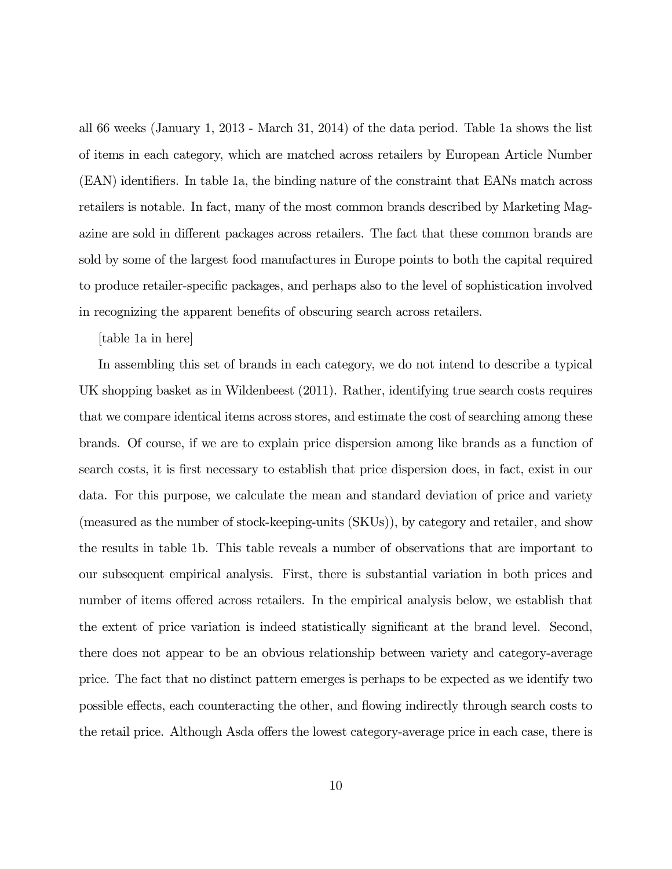all 66 weeks (January 1, 2013 - March 31, 2014) of the data period. Table 1a shows the list of items in each category, which are matched across retailers by European Article Number (EAN) identifiers. In table 1a, the binding nature of the constraint that EANs match across retailers is notable. In fact, many of the most common brands described by Marketing Magazine are sold in different packages across retailers. The fact that these common brands are sold by some of the largest food manufactures in Europe points to both the capital required to produce retailer-specific packages, and perhaps also to the level of sophistication involved in recognizing the apparent benefits of obscuring search across retailers.

[table 1a in here]

In assembling this set of brands in each category, we do not intend to describe a typical UK shopping basket as in Wildenbeest (2011). Rather, identifying true search costs requires that we compare identical items across stores, and estimate the cost of searching among these brands. Of course, if we are to explain price dispersion among like brands as a function of search costs, it is first necessary to establish that price dispersion does, in fact, exist in our data. For this purpose, we calculate the mean and standard deviation of price and variety (measured as the number of stock-keeping-units (SKUs)), by category and retailer, and show the results in table 1b. This table reveals a number of observations that are important to our subsequent empirical analysis. First, there is substantial variation in both prices and number of items offered across retailers. In the empirical analysis below, we establish that the extent of price variation is indeed statistically significant at the brand level. Second, there does not appear to be an obvious relationship between variety and category-average price. The fact that no distinct pattern emerges is perhaps to be expected as we identify two possible effects, each counteracting the other, and flowing indirectly through search costs to the retail price. Although Asda offers the lowest category-average price in each case, there is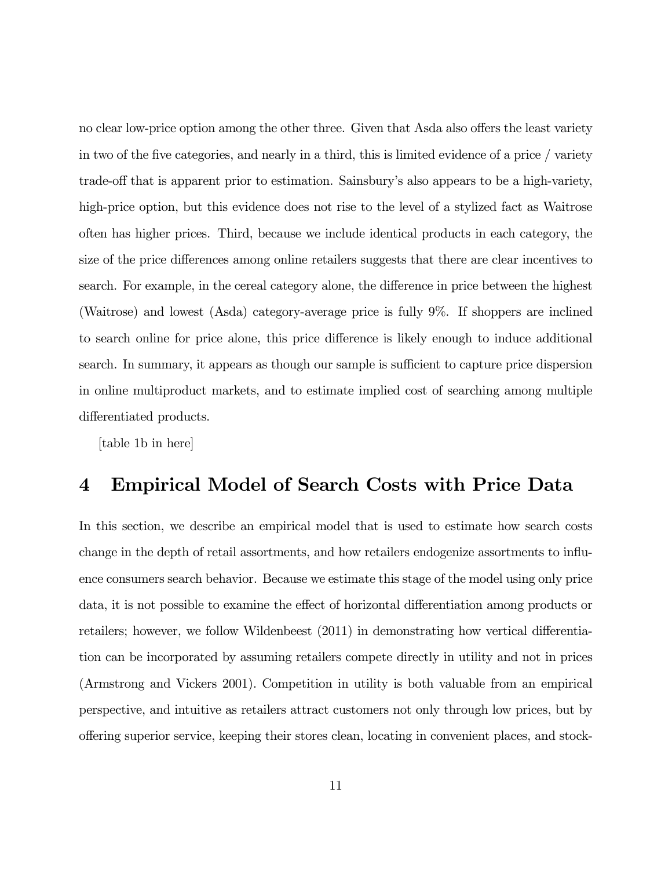no clear low-price option among the other three. Given that Asda also offers the least variety in two of the five categories, and nearly in a third, this is limited evidence of a price / variety trade-off that is apparent prior to estimation. Sainsbury's also appears to be a high-variety, high-price option, but this evidence does not rise to the level of a stylized fact as Waitrose often has higher prices. Third, because we include identical products in each category, the size of the price differences among online retailers suggests that there are clear incentives to search. For example, in the cereal category alone, the difference in price between the highest (Waitrose) and lowest (Asda) category-average price is fully 9%. If shoppers are inclined to search online for price alone, this price difference is likely enough to induce additional search. In summary, it appears as though our sample is sufficient to capture price dispersion in online multiproduct markets, and to estimate implied cost of searching among multiple differentiated products.

[table 1b in here]

### 4 Empirical Model of Search Costs with Price Data

In this section, we describe an empirical model that is used to estimate how search costs change in the depth of retail assortments, and how retailers endogenize assortments to influence consumers search behavior. Because we estimate this stage of the model using only price data, it is not possible to examine the effect of horizontal differentiation among products or retailers; however, we follow Wildenbeest (2011) in demonstrating how vertical differentiation can be incorporated by assuming retailers compete directly in utility and not in prices (Armstrong and Vickers 2001). Competition in utility is both valuable from an empirical perspective, and intuitive as retailers attract customers not only through low prices, but by offering superior service, keeping their stores clean, locating in convenient places, and stock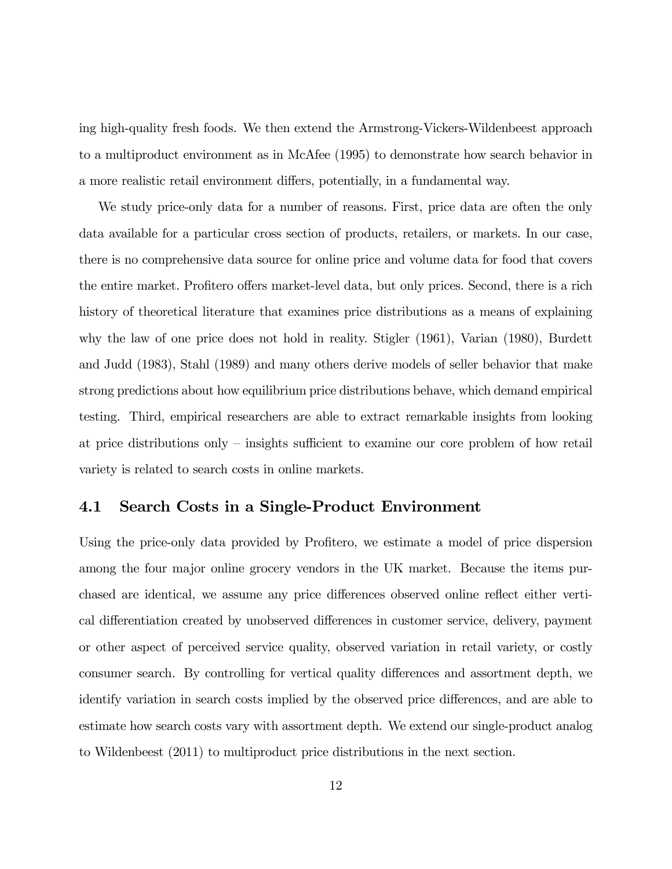ing high-quality fresh foods. We then extend the Armstrong-Vickers-Wildenbeest approach to a multiproduct environment as in McAfee (1995) to demonstrate how search behavior in a more realistic retail environment differs, potentially, in a fundamental way.

We study price-only data for a number of reasons. First, price data are often the only data available for a particular cross section of products, retailers, or markets. In our case, there is no comprehensive data source for online price and volume data for food that covers the entire market. Profitero offers market-level data, but only prices. Second, there is a rich history of theoretical literature that examines price distributions as a means of explaining why the law of one price does not hold in reality. Stigler (1961), Varian (1980), Burdett and Judd (1983), Stahl (1989) and many others derive models of seller behavior that make strong predictions about how equilibrium price distributions behave, which demand empirical testing. Third, empirical researchers are able to extract remarkable insights from looking at price distributions only — insights sufficient to examine our core problem of how retail variety is related to search costs in online markets.

### 4.1 Search Costs in a Single-Product Environment

Using the price-only data provided by Profitero, we estimate a model of price dispersion among the four major online grocery vendors in the UK market. Because the items purchased are identical, we assume any price differences observed online reflect either vertical differentiation created by unobserved differences in customer service, delivery, payment or other aspect of perceived service quality, observed variation in retail variety, or costly consumer search. By controlling for vertical quality differences and assortment depth, we identify variation in search costs implied by the observed price differences, and are able to estimate how search costs vary with assortment depth. We extend our single-product analog to Wildenbeest (2011) to multiproduct price distributions in the next section.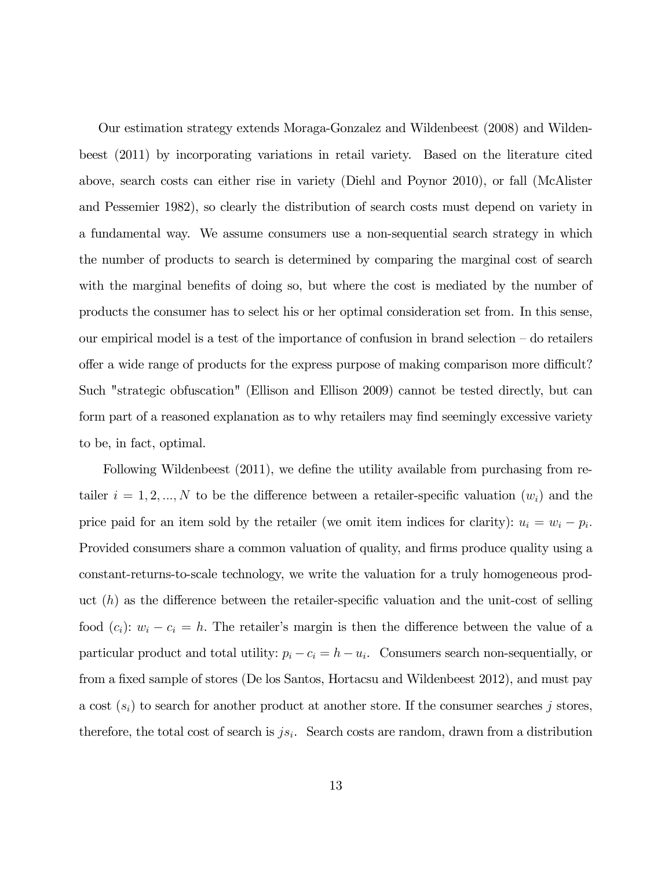Our estimation strategy extends Moraga-Gonzalez and Wildenbeest (2008) and Wildenbeest (2011) by incorporating variations in retail variety. Based on the literature cited above, search costs can either rise in variety (Diehl and Poynor 2010), or fall (McAlister and Pessemier 1982), so clearly the distribution of search costs must depend on variety in a fundamental way. We assume consumers use a non-sequential search strategy in which the number of products to search is determined by comparing the marginal cost of search with the marginal benefits of doing so, but where the cost is mediated by the number of products the consumer has to select his or her optimal consideration set from. In this sense, our empirical model is a test of the importance of confusion in brand selection — do retailers offer a wide range of products for the express purpose of making comparison more difficult? Such "strategic obfuscation" (Ellison and Ellison 2009) cannot be tested directly, but can form part of a reasoned explanation as to why retailers may find seemingly excessive variety to be, in fact, optimal.

Following Wildenbeest (2011), we define the utility available from purchasing from retailer  $i = 1, 2, ..., N$  to be the difference between a retailer-specific valuation  $(w_i)$  and the price paid for an item sold by the retailer (we omit item indices for clarity):  $u_i = w_i - p_i$ . Provided consumers share a common valuation of quality, and firms produce quality using a constant-returns-to-scale technology, we write the valuation for a truly homogeneous product  $(h)$  as the difference between the retailer-specific valuation and the unit-cost of selling food  $(c_i)$ :  $w_i - c_i = h$ . The retailer's margin is then the difference between the value of a particular product and total utility:  $p_i - c_i = h - u_i$ . Consumers search non-sequentially, or from a fixed sample of stores (De los Santos, Hortacsu and Wildenbeest 2012), and must pay a cost  $(s_i)$  to search for another product at another store. If the consumer searches j stores, therefore, the total cost of search is  $js_i$ . Search costs are random, drawn from a distribution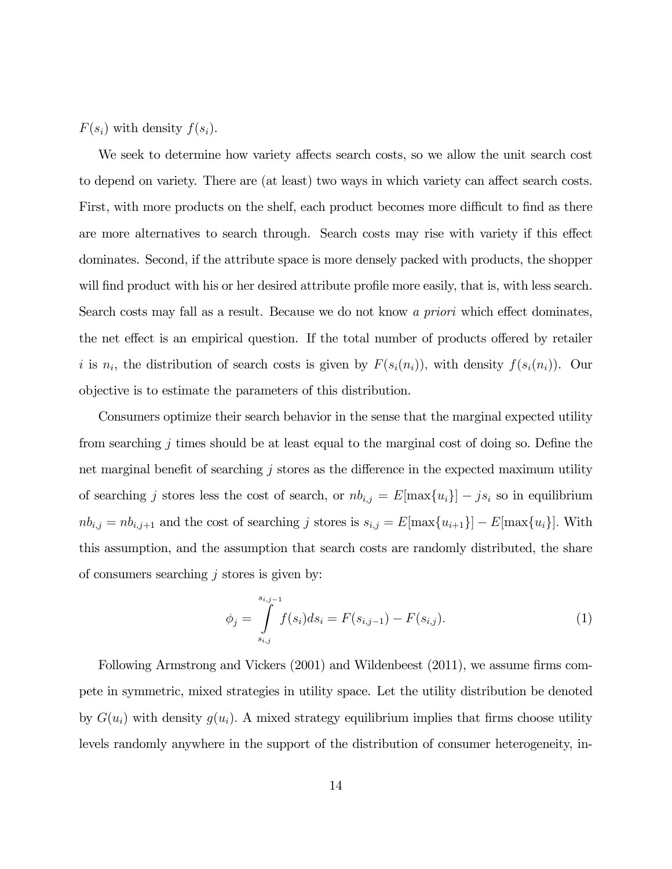$F(s_i)$  with density  $f(s_i)$ .

We seek to determine how variety affects search costs, so we allow the unit search cost to depend on variety. There are (at least) two ways in which variety can affect search costs. First, with more products on the shelf, each product becomes more difficult to find as there are more alternatives to search through. Search costs may rise with variety if this effect dominates. Second, if the attribute space is more densely packed with products, the shopper will find product with his or her desired attribute profile more easily, that is, with less search. Search costs may fall as a result. Because we do not know a priori which effect dominates, the net effect is an empirical question. If the total number of products offered by retailer i is  $n_i$ , the distribution of search costs is given by  $F(s_i(n_i))$ , with density  $f(s_i(n_i))$ . Our objective is to estimate the parameters of this distribution.

Consumers optimize their search behavior in the sense that the marginal expected utility from searching  $j$  times should be at least equal to the marginal cost of doing so. Define the net marginal benefit of searching  $j$  stores as the difference in the expected maximum utility of searching *j* stores less the cost of search, or  $nb_{i,j} = E[\max\{u_i\}] - j s_i$  so in equilibrium  $nb_{i,j} = nb_{i,j+1}$  and the cost of searching j stores is  $s_{i,j} = E[\max\{u_{i+1}\}] - E[\max\{u_i\}]$ . With this assumption, and the assumption that search costs are randomly distributed, the share of consumers searching  $i$  stores is given by:

$$
\phi_j = \int_{s_{i,j}}^{s_{i,j-1}} f(s_i) ds_i = F(s_{i,j-1}) - F(s_{i,j}).
$$
\n(1)

Following Armstrong and Vickers (2001) and Wildenbeest (2011), we assume firms compete in symmetric, mixed strategies in utility space. Let the utility distribution be denoted by  $G(u_i)$  with density  $g(u_i)$ . A mixed strategy equilibrium implies that firms choose utility levels randomly anywhere in the support of the distribution of consumer heterogeneity, in-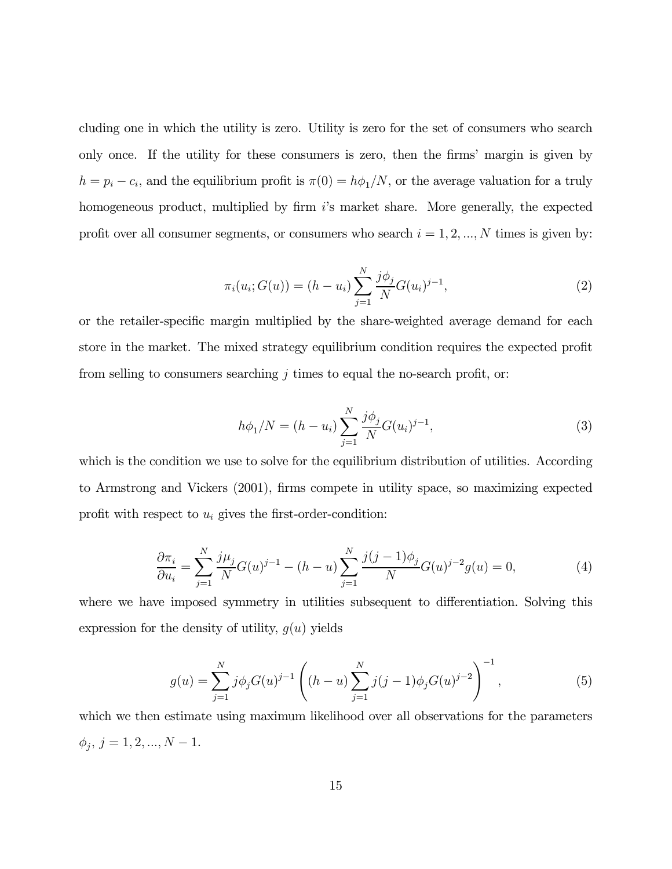cluding one in which the utility is zero. Utility is zero for the set of consumers who search only once. If the utility for these consumers is zero, then the firms' margin is given by  $h = p_i - c_i$ , and the equilibrium profit is  $\pi(0) = h\phi_1/N$ , or the average valuation for a truly homogeneous product, multiplied by firm is market share. More generally, the expected profit over all consumer segments, or consumers who search  $i = 1, 2, ..., N$  times is given by:

$$
\pi_i(u_i; G(u)) = (h - u_i) \sum_{j=1}^N \frac{j\phi_j}{N} G(u_i)^{j-1},
$$
\n(2)

or the retailer-specific margin multiplied by the share-weighted average demand for each store in the market. The mixed strategy equilibrium condition requires the expected profit from selling to consumers searching  $j$  times to equal the no-search profit, or:

$$
h\phi_1/N = (h - u_i) \sum_{j=1}^{N} \frac{j\phi_j}{N} G(u_i)^{j-1},
$$
\n(3)

which is the condition we use to solve for the equilibrium distribution of utilities. According to Armstrong and Vickers (2001), firms compete in utility space, so maximizing expected profit with respect to  $u_i$  gives the first-order-condition:

$$
\frac{\partial \pi_i}{\partial u_i} = \sum_{j=1}^N \frac{j\mu_j}{N} G(u)^{j-1} - (h - u) \sum_{j=1}^N \frac{j(j-1)\phi_j}{N} G(u)^{j-2} g(u) = 0,\tag{4}
$$

where we have imposed symmetry in utilities subsequent to differentiation. Solving this expression for the density of utility,  $q(u)$  yields

$$
g(u) = \sum_{j=1}^{N} j\phi_j G(u)^{j-1} \left( (h-u) \sum_{j=1}^{N} j(j-1)\phi_j G(u)^{j-2} \right)^{-1}, \tag{5}
$$

which we then estimate using maximum likelihood over all observations for the parameters  $\phi_j, \, j = 1, 2, ..., N-1.$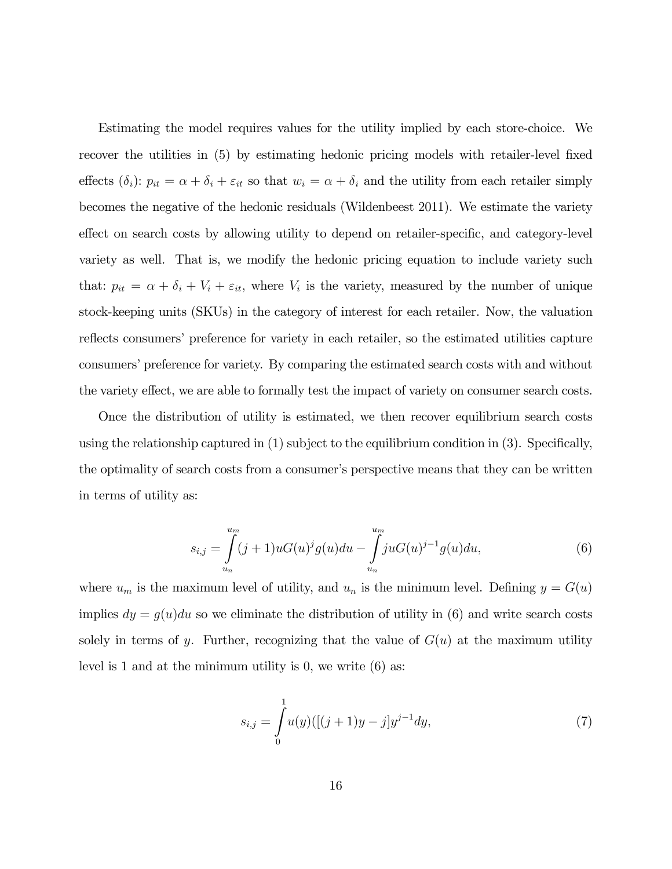Estimating the model requires values for the utility implied by each store-choice. We recover the utilities in (5) by estimating hedonic pricing models with retailer-level fixed effects  $(\delta_i)$ :  $p_{it} = \alpha + \delta_i + \varepsilon_{it}$  so that  $w_i = \alpha + \delta_i$  and the utility from each retailer simply becomes the negative of the hedonic residuals (Wildenbeest 2011). We estimate the variety effect on search costs by allowing utility to depend on retailer-specific, and category-level variety as well. That is, we modify the hedonic pricing equation to include variety such that:  $p_{it} = \alpha + \delta_i + V_i + \varepsilon_{it}$ , where  $V_i$  is the variety, measured by the number of unique stock-keeping units (SKUs) in the category of interest for each retailer. Now, the valuation reflects consumers' preference for variety in each retailer, so the estimated utilities capture consumers' preference for variety. By comparing the estimated search costs with and without the variety effect, we are able to formally test the impact of variety on consumer search costs.

Once the distribution of utility is estimated, we then recover equilibrium search costs using the relationship captured in (1) subject to the equilibrium condition in (3). Specifically, the optimality of search costs from a consumer's perspective means that they can be written in terms of utility as:

$$
s_{i,j} = \int_{u_n}^{u_m} (j+1)uG(u)^{j}g(u)du - \int_{u_n}^{u_m} juG(u)^{j-1}g(u)du,
$$
\n(6)

where  $u_m$  is the maximum level of utility, and  $u_n$  is the minimum level. Defining  $y = G(u)$ implies  $dy = g(u)du$  so we eliminate the distribution of utility in (6) and write search costs solely in terms of y. Further, recognizing that the value of  $G(u)$  at the maximum utility level is 1 and at the minimum utility is 0, we write (6) as:

$$
s_{i,j} = \int_{0}^{1} u(y) ([(j+1)y - j]y^{j-1} dy, \tag{7}
$$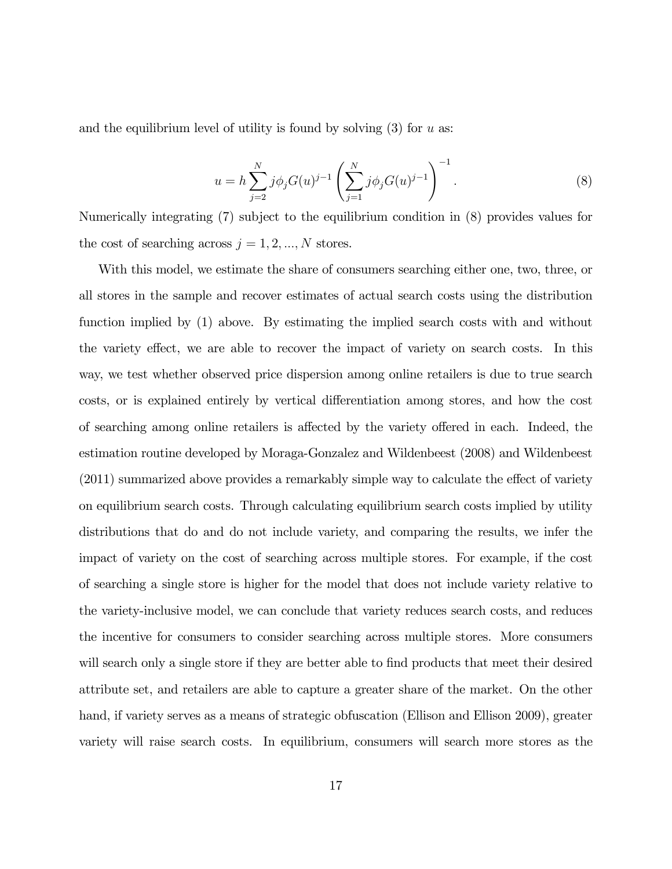and the equilibrium level of utility is found by solving  $(3)$  for  $u$  as:

$$
u = h \sum_{j=2}^{N} j \phi_j G(u)^{j-1} \left( \sum_{j=1}^{N} j \phi_j G(u)^{j-1} \right)^{-1}.
$$
 (8)

Numerically integrating (7) subject to the equilibrium condition in (8) provides values for the cost of searching across  $j = 1, 2, ..., N$  stores.

With this model, we estimate the share of consumers searching either one, two, three, or all stores in the sample and recover estimates of actual search costs using the distribution function implied by (1) above. By estimating the implied search costs with and without the variety effect, we are able to recover the impact of variety on search costs. In this way, we test whether observed price dispersion among online retailers is due to true search costs, or is explained entirely by vertical differentiation among stores, and how the cost of searching among online retailers is affected by the variety offered in each. Indeed, the estimation routine developed by Moraga-Gonzalez and Wildenbeest (2008) and Wildenbeest (2011) summarized above provides a remarkably simple way to calculate the effect of variety on equilibrium search costs. Through calculating equilibrium search costs implied by utility distributions that do and do not include variety, and comparing the results, we infer the impact of variety on the cost of searching across multiple stores. For example, if the cost of searching a single store is higher for the model that does not include variety relative to the variety-inclusive model, we can conclude that variety reduces search costs, and reduces the incentive for consumers to consider searching across multiple stores. More consumers will search only a single store if they are better able to find products that meet their desired attribute set, and retailers are able to capture a greater share of the market. On the other hand, if variety serves as a means of strategic obfuscation (Ellison and Ellison 2009), greater variety will raise search costs. In equilibrium, consumers will search more stores as the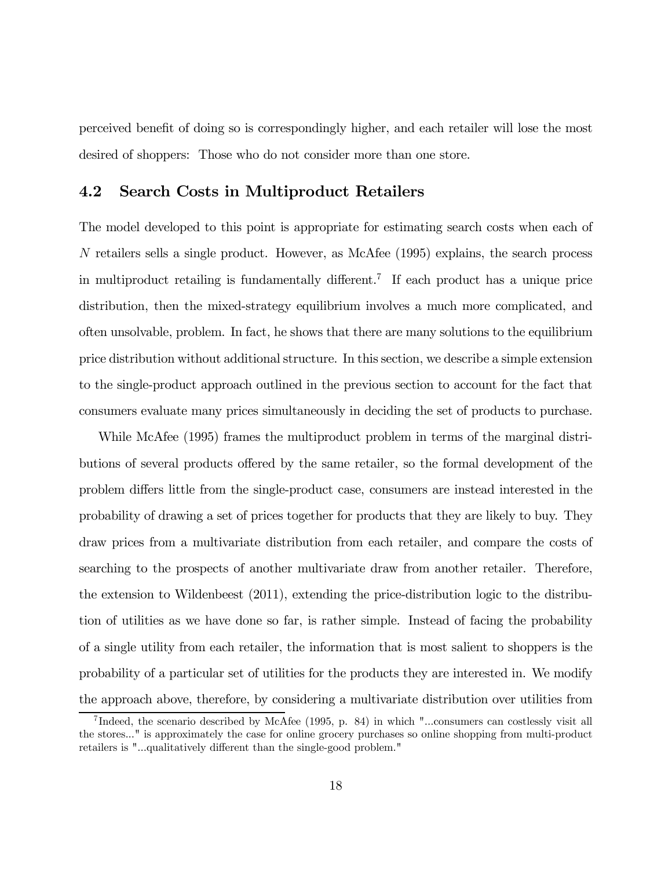perceived benefit of doing so is correspondingly higher, and each retailer will lose the most desired of shoppers: Those who do not consider more than one store.

### 4.2 Search Costs in Multiproduct Retailers

The model developed to this point is appropriate for estimating search costs when each of  $N$  retailers sells a single product. However, as McAfee (1995) explains, the search process in multiproduct retailing is fundamentally different.<sup>7</sup> If each product has a unique price distribution, then the mixed-strategy equilibrium involves a much more complicated, and often unsolvable, problem. In fact, he shows that there are many solutions to the equilibrium price distribution without additional structure. In this section, we describe a simple extension to the single-product approach outlined in the previous section to account for the fact that consumers evaluate many prices simultaneously in deciding the set of products to purchase.

While McAfee (1995) frames the multiproduct problem in terms of the marginal distributions of several products offered by the same retailer, so the formal development of the problem differs little from the single-product case, consumers are instead interested in the probability of drawing a set of prices together for products that they are likely to buy. They draw prices from a multivariate distribution from each retailer, and compare the costs of searching to the prospects of another multivariate draw from another retailer. Therefore, the extension to Wildenbeest (2011), extending the price-distribution logic to the distribution of utilities as we have done so far, is rather simple. Instead of facing the probability of a single utility from each retailer, the information that is most salient to shoppers is the probability of a particular set of utilities for the products they are interested in. We modify the approach above, therefore, by considering a multivariate distribution over utilities from

<sup>7</sup> Indeed, the scenario described by McAfee (1995, p. 84) in which "...consumers can costlessly visit all the stores..." is approximately the case for online grocery purchases so online shopping from multi-product retailers is "...qualitatively different than the single-good problem."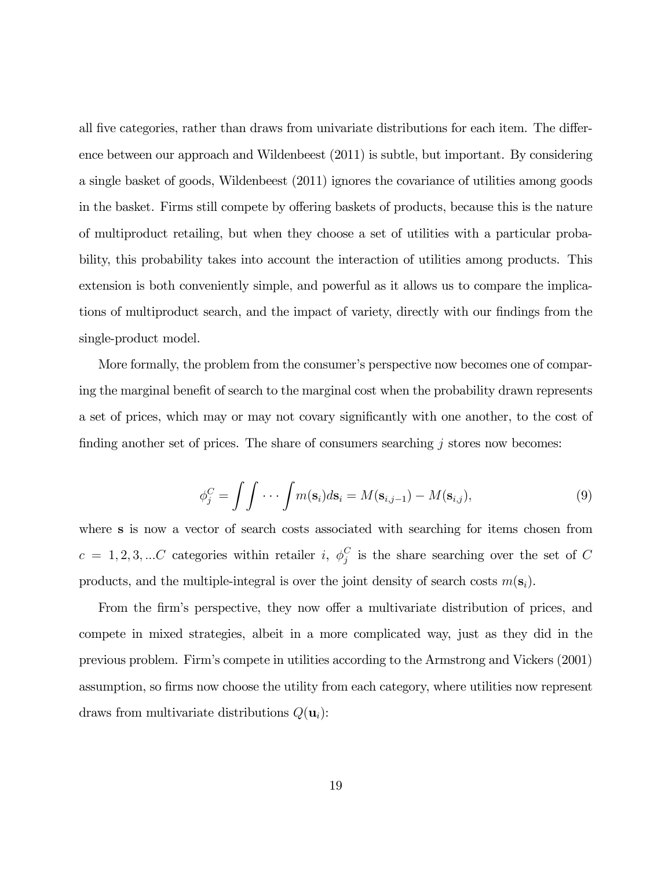all five categories, rather than draws from univariate distributions for each item. The difference between our approach and Wildenbeest (2011) is subtle, but important. By considering a single basket of goods, Wildenbeest (2011) ignores the covariance of utilities among goods in the basket. Firms still compete by offering baskets of products, because this is the nature of multiproduct retailing, but when they choose a set of utilities with a particular probability, this probability takes into account the interaction of utilities among products. This extension is both conveniently simple, and powerful as it allows us to compare the implications of multiproduct search, and the impact of variety, directly with our findings from the single-product model.

More formally, the problem from the consumer's perspective now becomes one of comparing the marginal benefit of search to the marginal cost when the probability drawn represents a set of prices, which may or may not covary significantly with one another, to the cost of finding another set of prices. The share of consumers searching  $j$  stores now becomes:

$$
\phi_j^C = \int \int \cdots \int m(\mathbf{s}_i) d\mathbf{s}_i = M(\mathbf{s}_{i,j-1}) - M(\mathbf{s}_{i,j}), \tag{9}
$$

where s is now a vector of search costs associated with searching for items chosen from  $c = 1, 2, 3, ...C$  categories within retailer i,  $\phi_j^C$  is the share searching over the set of C products, and the multiple-integral is over the joint density of search costs  $m(s_i)$ .

From the firm's perspective, they now offer a multivariate distribution of prices, and compete in mixed strategies, albeit in a more complicated way, just as they did in the previous problem. Firm's compete in utilities according to the Armstrong and Vickers (2001) assumption, so firms now choose the utility from each category, where utilities now represent draws from multivariate distributions  $Q(\mathbf{u}_i)$ :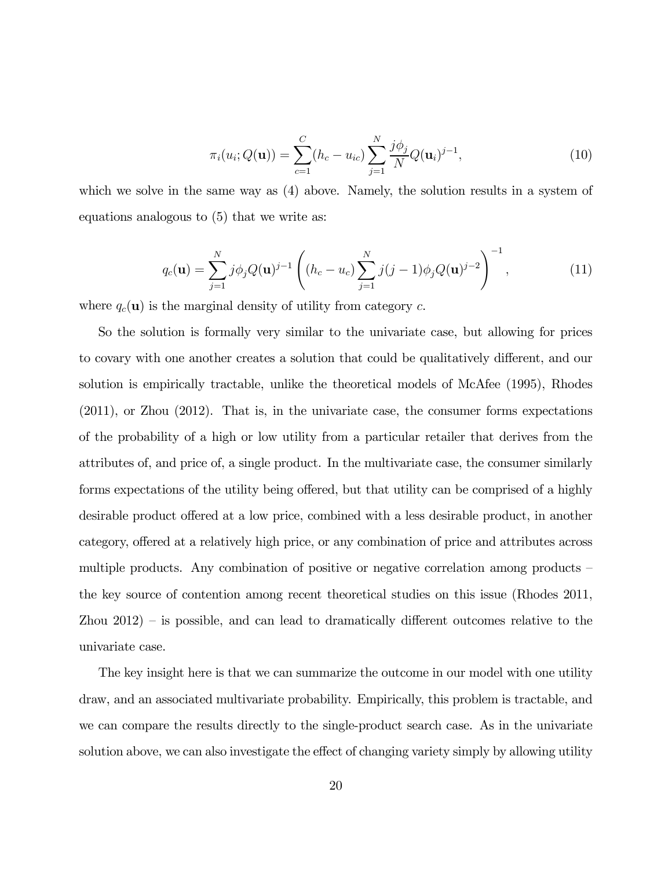$$
\pi_i(u_i; Q(\mathbf{u})) = \sum_{c=1}^{C} (h_c - u_{ic}) \sum_{j=1}^{N} \frac{j \phi_j}{N} Q(\mathbf{u}_i)^{j-1},
$$
\n(10)

which we solve in the same way as (4) above. Namely, the solution results in a system of equations analogous to (5) that we write as:

$$
q_c(\mathbf{u}) = \sum_{j=1}^{N} j\phi_j Q(\mathbf{u})^{j-1} \left( (h_c - u_c) \sum_{j=1}^{N} j(j-1)\phi_j Q(\mathbf{u})^{j-2} \right)^{-1},
$$
(11)

where  $q_c(\mathbf{u})$  is the marginal density of utility from category c.

So the solution is formally very similar to the univariate case, but allowing for prices to covary with one another creates a solution that could be qualitatively different, and our solution is empirically tractable, unlike the theoretical models of McAfee (1995), Rhodes (2011), or Zhou (2012). That is, in the univariate case, the consumer forms expectations of the probability of a high or low utility from a particular retailer that derives from the attributes of, and price of, a single product. In the multivariate case, the consumer similarly forms expectations of the utility being offered, but that utility can be comprised of a highly desirable product offered at a low price, combined with a less desirable product, in another category, offered at a relatively high price, or any combination of price and attributes across multiple products. Any combination of positive or negative correlation among products the key source of contention among recent theoretical studies on this issue (Rhodes 2011, Zhou  $2012$ ) – is possible, and can lead to dramatically different outcomes relative to the univariate case.

The key insight here is that we can summarize the outcome in our model with one utility draw, and an associated multivariate probability. Empirically, this problem is tractable, and we can compare the results directly to the single-product search case. As in the univariate solution above, we can also investigate the effect of changing variety simply by allowing utility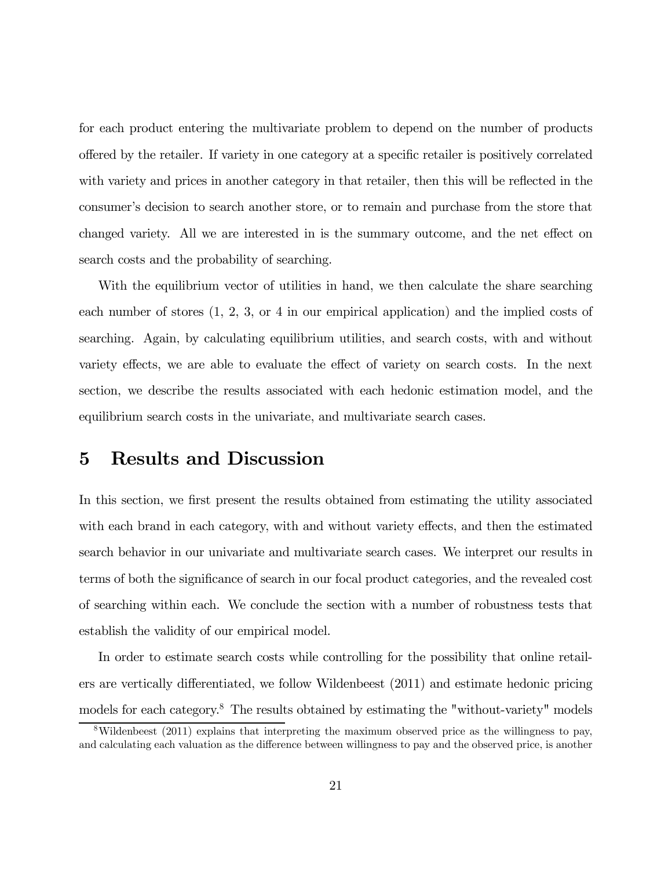for each product entering the multivariate problem to depend on the number of products offered by the retailer. If variety in one category at a specific retailer is positively correlated with variety and prices in another category in that retailer, then this will be reflected in the consumer's decision to search another store, or to remain and purchase from the store that changed variety. All we are interested in is the summary outcome, and the net effect on search costs and the probability of searching.

With the equilibrium vector of utilities in hand, we then calculate the share searching each number of stores (1, 2, 3, or 4 in our empirical application) and the implied costs of searching. Again, by calculating equilibrium utilities, and search costs, with and without variety effects, we are able to evaluate the effect of variety on search costs. In the next section, we describe the results associated with each hedonic estimation model, and the equilibrium search costs in the univariate, and multivariate search cases.

### 5 Results and Discussion

In this section, we first present the results obtained from estimating the utility associated with each brand in each category, with and without variety effects, and then the estimated search behavior in our univariate and multivariate search cases. We interpret our results in terms of both the significance of search in our focal product categories, and the revealed cost of searching within each. We conclude the section with a number of robustness tests that establish the validity of our empirical model.

In order to estimate search costs while controlling for the possibility that online retailers are vertically differentiated, we follow Wildenbeest (2011) and estimate hedonic pricing models for each category.<sup>8</sup> The results obtained by estimating the "without-variety" models

<sup>8</sup>Wildenbeest (2011) explains that interpreting the maximum observed price as the willingness to pay, and calculating each valuation as the difference between willingness to pay and the observed price, is another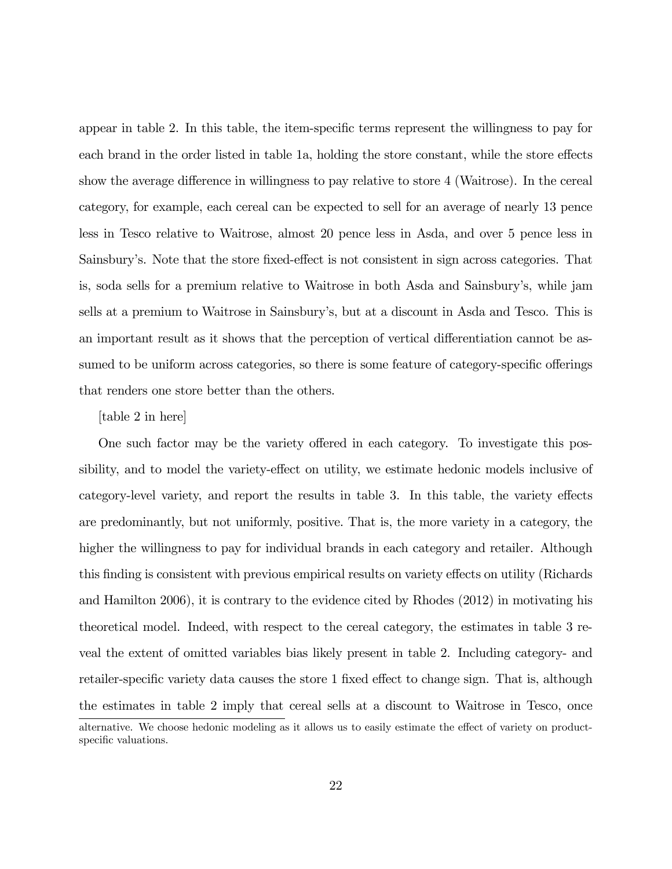appear in table 2. In this table, the item-specific terms represent the willingness to pay for each brand in the order listed in table 1a, holding the store constant, while the store effects show the average difference in willingness to pay relative to store 4 (Waitrose). In the cereal category, for example, each cereal can be expected to sell for an average of nearly 13 pence less in Tesco relative to Waitrose, almost 20 pence less in Asda, and over 5 pence less in Sainsbury's. Note that the store fixed-effect is not consistent in sign across categories. That is, soda sells for a premium relative to Waitrose in both Asda and Sainsbury's, while jam sells at a premium to Waitrose in Sainsbury's, but at a discount in Asda and Tesco. This is an important result as it shows that the perception of vertical differentiation cannot be assumed to be uniform across categories, so there is some feature of category-specific offerings that renders one store better than the others.

### [table 2 in here]

One such factor may be the variety offered in each category. To investigate this possibility, and to model the variety-effect on utility, we estimate hedonic models inclusive of category-level variety, and report the results in table 3. In this table, the variety effects are predominantly, but not uniformly, positive. That is, the more variety in a category, the higher the willingness to pay for individual brands in each category and retailer. Although this finding is consistent with previous empirical results on variety effects on utility (Richards and Hamilton 2006), it is contrary to the evidence cited by Rhodes (2012) in motivating his theoretical model. Indeed, with respect to the cereal category, the estimates in table 3 reveal the extent of omitted variables bias likely present in table 2. Including category- and retailer-specific variety data causes the store 1 fixed effect to change sign. That is, although the estimates in table 2 imply that cereal sells at a discount to Waitrose in Tesco, once alternative. We choose hedonic modeling as it allows us to easily estimate the effect of variety on productspecific valuations.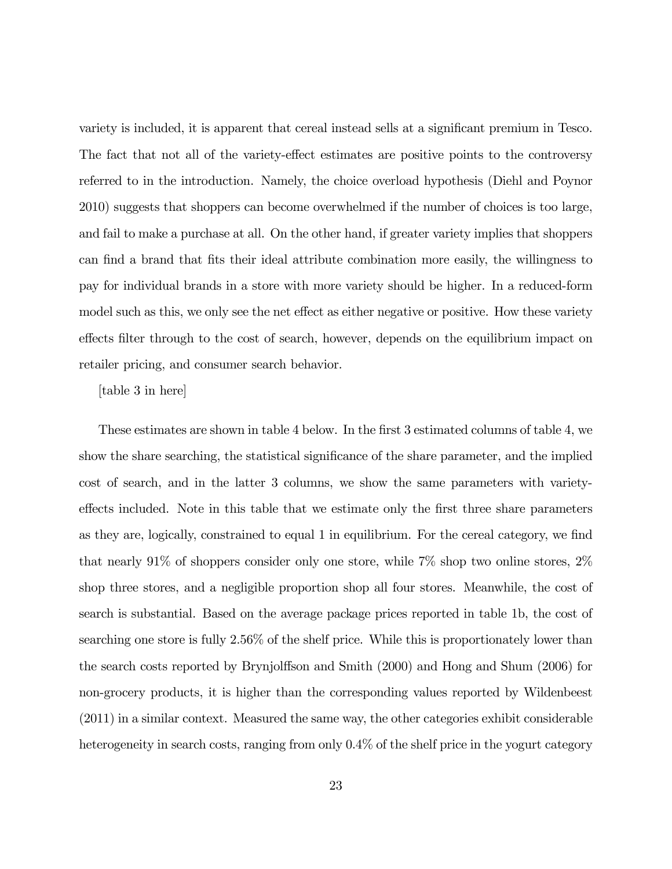variety is included, it is apparent that cereal instead sells at a significant premium in Tesco. The fact that not all of the variety-effect estimates are positive points to the controversy referred to in the introduction. Namely, the choice overload hypothesis (Diehl and Poynor 2010) suggests that shoppers can become overwhelmed if the number of choices is too large, and fail to make a purchase at all. On the other hand, if greater variety implies that shoppers can find a brand that fits their ideal attribute combination more easily, the willingness to pay for individual brands in a store with more variety should be higher. In a reduced-form model such as this, we only see the net effect as either negative or positive. How these variety effects filter through to the cost of search, however, depends on the equilibrium impact on retailer pricing, and consumer search behavior.

### [table 3 in here]

These estimates are shown in table 4 below. In the first 3 estimated columns of table 4, we show the share searching, the statistical significance of the share parameter, and the implied cost of search, and in the latter 3 columns, we show the same parameters with varietyeffects included. Note in this table that we estimate only the first three share parameters as they are, logically, constrained to equal 1 in equilibrium. For the cereal category, we find that nearly 91% of shoppers consider only one store, while 7% shop two online stores, 2% shop three stores, and a negligible proportion shop all four stores. Meanwhile, the cost of search is substantial. Based on the average package prices reported in table 1b, the cost of searching one store is fully 2.56% of the shelf price. While this is proportionately lower than the search costs reported by Brynjolffson and Smith (2000) and Hong and Shum (2006) for non-grocery products, it is higher than the corresponding values reported by Wildenbeest (2011) in a similar context. Measured the same way, the other categories exhibit considerable heterogeneity in search costs, ranging from only  $0.4\%$  of the shelf price in the yogurt category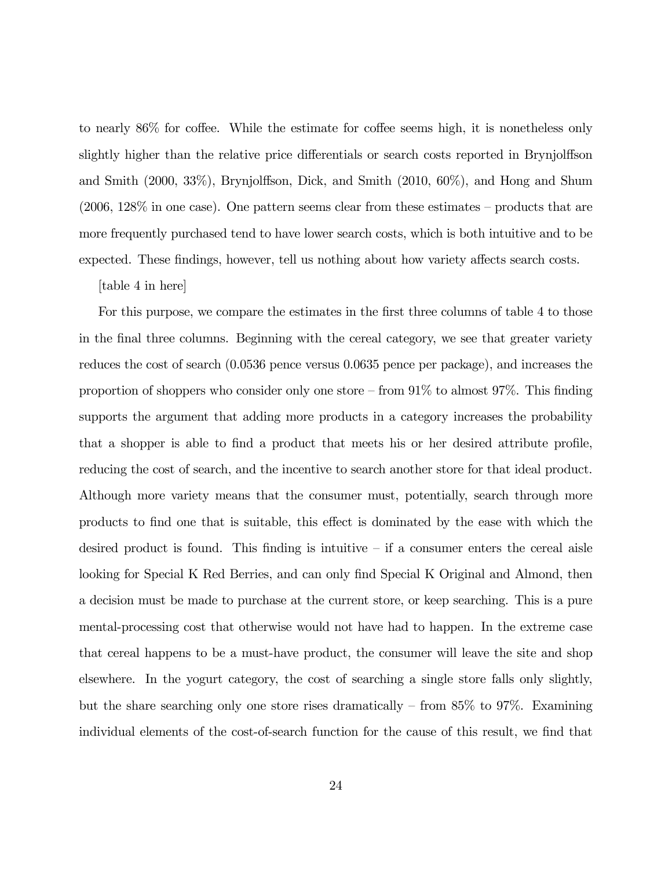to nearly 86% for coffee. While the estimate for coffee seems high, it is nonetheless only slightly higher than the relative price differentials or search costs reported in Brynjolffson and Smith (2000, 33%), Brynjolffson, Dick, and Smith (2010, 60%), and Hong and Shum (2006, 128% in one case). One pattern seems clear from these estimates — products that are more frequently purchased tend to have lower search costs, which is both intuitive and to be expected. These findings, however, tell us nothing about how variety affects search costs.

[table 4 in here]

For this purpose, we compare the estimates in the first three columns of table 4 to those in the final three columns. Beginning with the cereal category, we see that greater variety reduces the cost of search (0.0536 pence versus 0.0635 pence per package), and increases the proportion of shoppers who consider only one store  $-$  from  $91\%$  to almost  $97\%$ . This finding supports the argument that adding more products in a category increases the probability that a shopper is able to find a product that meets his or her desired attribute profile, reducing the cost of search, and the incentive to search another store for that ideal product. Although more variety means that the consumer must, potentially, search through more products to find one that is suitable, this effect is dominated by the ease with which the desired product is found. This finding is intuitive  $-$  if a consumer enters the cereal aisle looking for Special K Red Berries, and can only find Special K Original and Almond, then a decision must be made to purchase at the current store, or keep searching. This is a pure mental-processing cost that otherwise would not have had to happen. In the extreme case that cereal happens to be a must-have product, the consumer will leave the site and shop elsewhere. In the yogurt category, the cost of searching a single store falls only slightly, but the share searching only one store rises dramatically — from 85% to 97%. Examining individual elements of the cost-of-search function for the cause of this result, we find that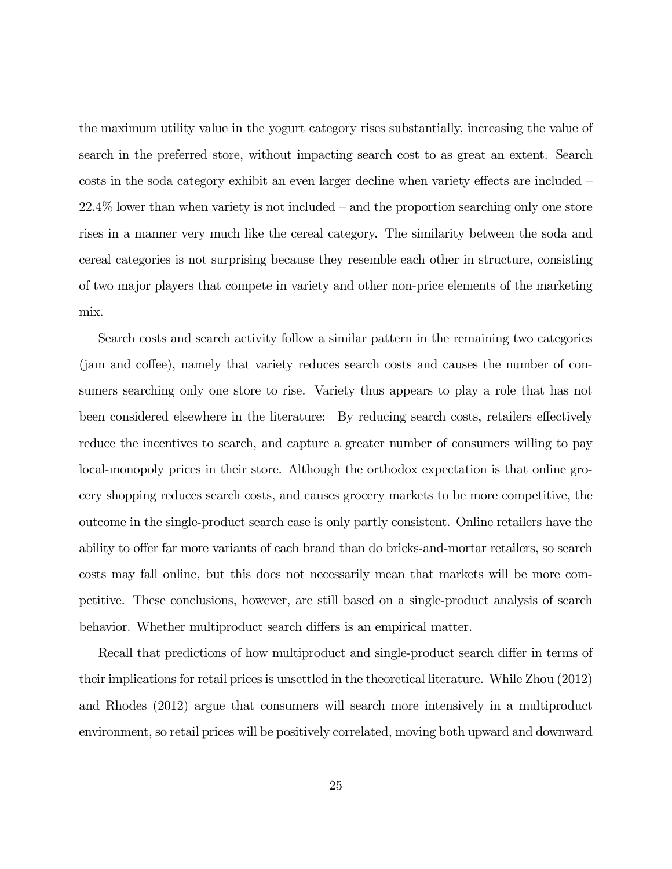the maximum utility value in the yogurt category rises substantially, increasing the value of search in the preferred store, without impacting search cost to as great an extent. Search costs in the soda category exhibit an even larger decline when variety effects are included — 22.4% lower than when variety is not included — and the proportion searching only one store rises in a manner very much like the cereal category. The similarity between the soda and cereal categories is not surprising because they resemble each other in structure, consisting of two major players that compete in variety and other non-price elements of the marketing mix.

Search costs and search activity follow a similar pattern in the remaining two categories (jam and coffee), namely that variety reduces search costs and causes the number of consumers searching only one store to rise. Variety thus appears to play a role that has not been considered elsewhere in the literature: By reducing search costs, retailers effectively reduce the incentives to search, and capture a greater number of consumers willing to pay local-monopoly prices in their store. Although the orthodox expectation is that online grocery shopping reduces search costs, and causes grocery markets to be more competitive, the outcome in the single-product search case is only partly consistent. Online retailers have the ability to offer far more variants of each brand than do bricks-and-mortar retailers, so search costs may fall online, but this does not necessarily mean that markets will be more competitive. These conclusions, however, are still based on a single-product analysis of search behavior. Whether multiproduct search differs is an empirical matter.

Recall that predictions of how multiproduct and single-product search differ in terms of their implications for retail prices is unsettled in the theoretical literature. While Zhou (2012) and Rhodes (2012) argue that consumers will search more intensively in a multiproduct environment, so retail prices will be positively correlated, moving both upward and downward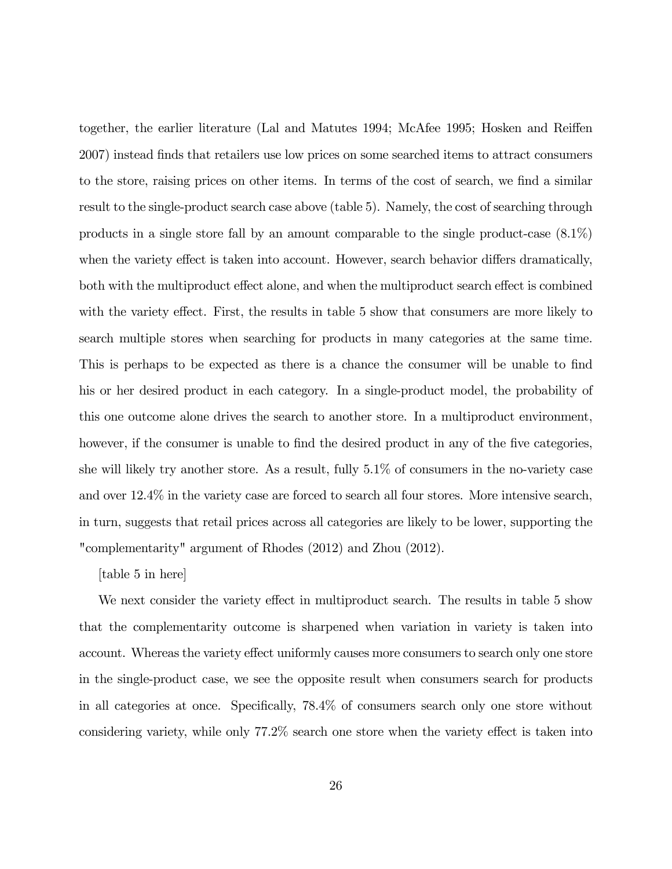together, the earlier literature (Lal and Matutes 1994; McAfee 1995; Hosken and Reiffen 2007) instead finds that retailers use low prices on some searched items to attract consumers to the store, raising prices on other items. In terms of the cost of search, we find a similar result to the single-product search case above (table 5). Namely, the cost of searching through products in a single store fall by an amount comparable to the single product-case (8.1%) when the variety effect is taken into account. However, search behavior differs dramatically, both with the multiproduct effect alone, and when the multiproduct search effect is combined with the variety effect. First, the results in table 5 show that consumers are more likely to search multiple stores when searching for products in many categories at the same time. This is perhaps to be expected as there is a chance the consumer will be unable to find his or her desired product in each category. In a single-product model, the probability of this one outcome alone drives the search to another store. In a multiproduct environment, however, if the consumer is unable to find the desired product in any of the five categories, she will likely try another store. As a result, fully 5.1% of consumers in the no-variety case and over 12.4% in the variety case are forced to search all four stores. More intensive search, in turn, suggests that retail prices across all categories are likely to be lower, supporting the "complementarity" argument of Rhodes (2012) and Zhou (2012).

[table 5 in here]

We next consider the variety effect in multiproduct search. The results in table 5 show that the complementarity outcome is sharpened when variation in variety is taken into account. Whereas the variety effect uniformly causes more consumers to search only one store in the single-product case, we see the opposite result when consumers search for products in all categories at once. Specifically, 78.4% of consumers search only one store without considering variety, while only 77.2% search one store when the variety effect is taken into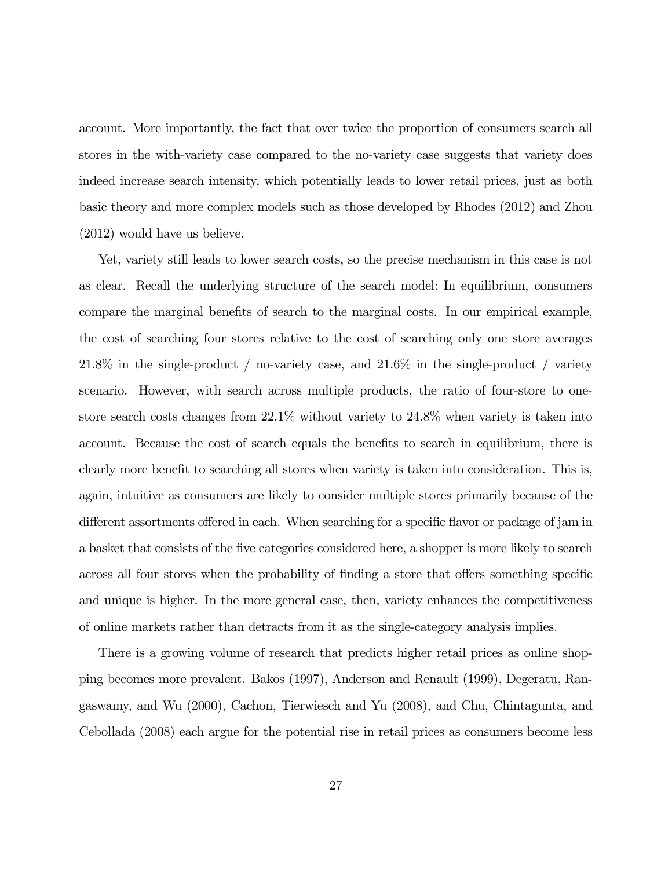account. More importantly, the fact that over twice the proportion of consumers search all stores in the with-variety case compared to the no-variety case suggests that variety does indeed increase search intensity, which potentially leads to lower retail prices, just as both basic theory and more complex models such as those developed by Rhodes (2012) and Zhou (2012) would have us believe.

Yet, variety still leads to lower search costs, so the precise mechanism in this case is not as clear. Recall the underlying structure of the search model: In equilibrium, consumers compare the marginal benefits of search to the marginal costs. In our empirical example, the cost of searching four stores relative to the cost of searching only one store averages 21.8% in the single-product / no-variety case, and 21.6% in the single-product / variety scenario. However, with search across multiple products, the ratio of four-store to onestore search costs changes from 22.1% without variety to 24.8% when variety is taken into account. Because the cost of search equals the benefits to search in equilibrium, there is clearly more benefit to searching all stores when variety is taken into consideration. This is, again, intuitive as consumers are likely to consider multiple stores primarily because of the different assortments offered in each. When searching for a specific flavor or package of jam in a basket that consists of the five categories considered here, a shopper is more likely to search across all four stores when the probability of finding a store that offers something specific and unique is higher. In the more general case, then, variety enhances the competitiveness of online markets rather than detracts from it as the single-category analysis implies.

There is a growing volume of research that predicts higher retail prices as online shopping becomes more prevalent. Bakos (1997), Anderson and Renault (1999), Degeratu, Rangaswamy, and Wu (2000), Cachon, Tierwiesch and Yu (2008), and Chu, Chintagunta, and Cebollada (2008) each argue for the potential rise in retail prices as consumers become less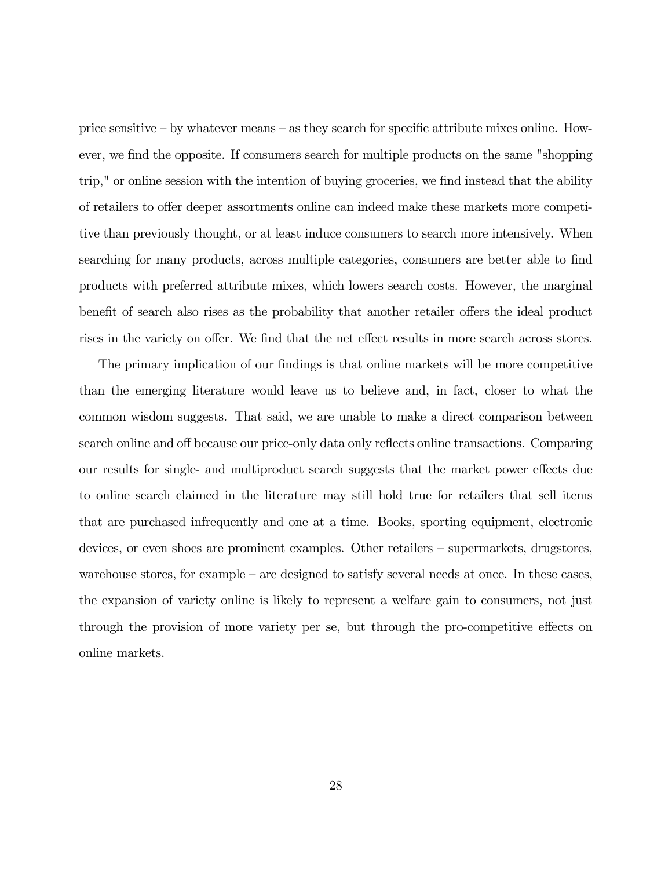price sensitive — by whatever means — as they search for specific attribute mixes online. However, we find the opposite. If consumers search for multiple products on the same "shopping trip," or online session with the intention of buying groceries, we find instead that the ability of retailers to offer deeper assortments online can indeed make these markets more competitive than previously thought, or at least induce consumers to search more intensively. When searching for many products, across multiple categories, consumers are better able to find products with preferred attribute mixes, which lowers search costs. However, the marginal benefit of search also rises as the probability that another retailer offers the ideal product rises in the variety on offer. We find that the net effect results in more search across stores.

The primary implication of our findings is that online markets will be more competitive than the emerging literature would leave us to believe and, in fact, closer to what the common wisdom suggests. That said, we are unable to make a direct comparison between search online and off because our price-only data only reflects online transactions. Comparing our results for single- and multiproduct search suggests that the market power effects due to online search claimed in the literature may still hold true for retailers that sell items that are purchased infrequently and one at a time. Books, sporting equipment, electronic devices, or even shoes are prominent examples. Other retailers — supermarkets, drugstores, warehouse stores, for example — are designed to satisfy several needs at once. In these cases, the expansion of variety online is likely to represent a welfare gain to consumers, not just through the provision of more variety per se, but through the pro-competitive effects on online markets.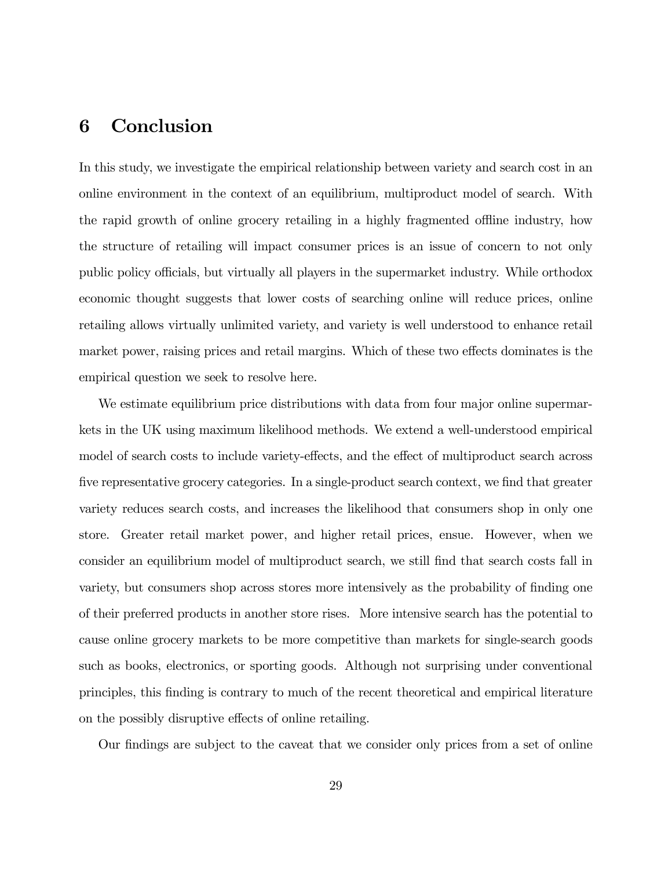# 6 Conclusion

In this study, we investigate the empirical relationship between variety and search cost in an online environment in the context of an equilibrium, multiproduct model of search. With the rapid growth of online grocery retailing in a highly fragmented offline industry, how the structure of retailing will impact consumer prices is an issue of concern to not only public policy officials, but virtually all players in the supermarket industry. While orthodox economic thought suggests that lower costs of searching online will reduce prices, online retailing allows virtually unlimited variety, and variety is well understood to enhance retail market power, raising prices and retail margins. Which of these two effects dominates is the empirical question we seek to resolve here.

We estimate equilibrium price distributions with data from four major online supermarkets in the UK using maximum likelihood methods. We extend a well-understood empirical model of search costs to include variety-effects, and the effect of multiproduct search across five representative grocery categories. In a single-product search context, we find that greater variety reduces search costs, and increases the likelihood that consumers shop in only one store. Greater retail market power, and higher retail prices, ensue. However, when we consider an equilibrium model of multiproduct search, we still find that search costs fall in variety, but consumers shop across stores more intensively as the probability of finding one of their preferred products in another store rises. More intensive search has the potential to cause online grocery markets to be more competitive than markets for single-search goods such as books, electronics, or sporting goods. Although not surprising under conventional principles, this finding is contrary to much of the recent theoretical and empirical literature on the possibly disruptive effects of online retailing.

Our findings are subject to the caveat that we consider only prices from a set of online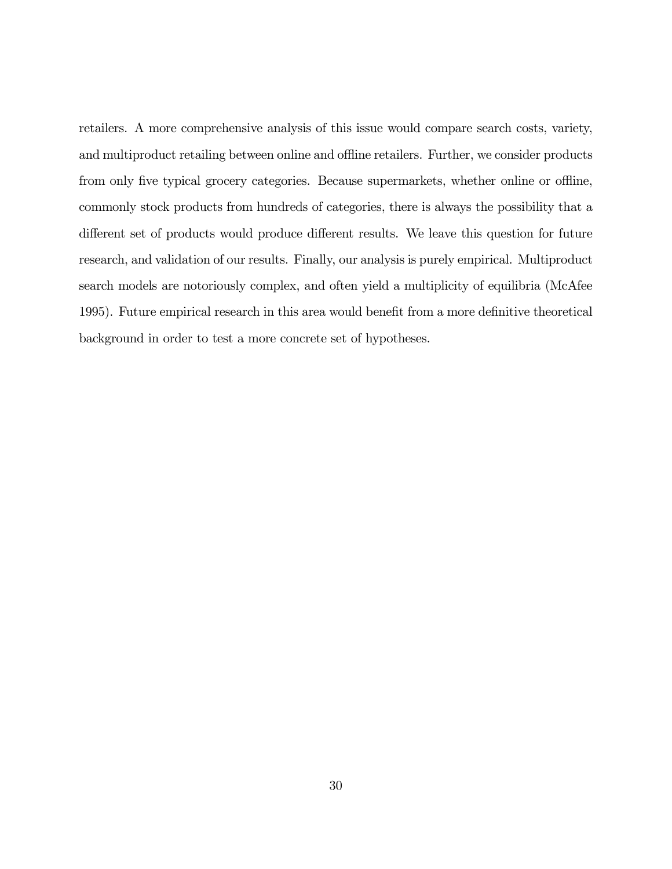retailers. A more comprehensive analysis of this issue would compare search costs, variety, and multiproduct retailing between online and offline retailers. Further, we consider products from only five typical grocery categories. Because supermarkets, whether online or offline, commonly stock products from hundreds of categories, there is always the possibility that a different set of products would produce different results. We leave this question for future research, and validation of our results. Finally, our analysis is purely empirical. Multiproduct search models are notoriously complex, and often yield a multiplicity of equilibria (McAfee 1995). Future empirical research in this area would benefit from a more definitive theoretical background in order to test a more concrete set of hypotheses.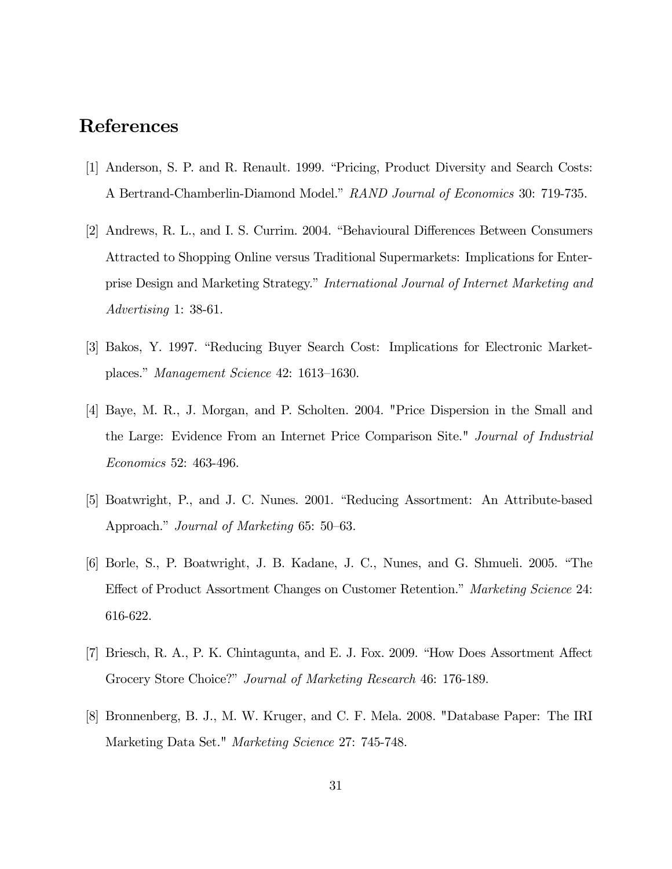# References

- [1] Anderson, S. P. and R. Renault. 1999. "Pricing, Product Diversity and Search Costs: A Bertrand-Chamberlin-Diamond Model." RAND Journal of Economics 30: 719-735.
- [2] Andrews, R. L., and I. S. Currim. 2004. "Behavioural Differences Between Consumers Attracted to Shopping Online versus Traditional Supermarkets: Implications for Enterprise Design and Marketing Strategy." International Journal of Internet Marketing and Advertising 1: 38-61.
- [3] Bakos, Y. 1997. "Reducing Buyer Search Cost: Implications for Electronic Marketplaces." Management Science 42: 1613—1630.
- [4] Baye, M. R., J. Morgan, and P. Scholten. 2004. "Price Dispersion in the Small and the Large: Evidence From an Internet Price Comparison Site." Journal of Industrial Economics 52: 463-496.
- [5] Boatwright, P., and J. C. Nunes. 2001. "Reducing Assortment: An Attribute-based Approach." Journal of Marketing 65: 50—63.
- [6] Borle, S., P. Boatwright, J. B. Kadane, J. C., Nunes, and G. Shmueli. 2005. "The Effect of Product Assortment Changes on Customer Retention." Marketing Science 24: 616-622.
- [7] Briesch, R. A., P. K. Chintagunta, and E. J. Fox. 2009. "How Does Assortment Affect Grocery Store Choice?" Journal of Marketing Research 46: 176-189.
- [8] Bronnenberg, B. J., M. W. Kruger, and C. F. Mela. 2008. "Database Paper: The IRI Marketing Data Set." Marketing Science 27: 745-748.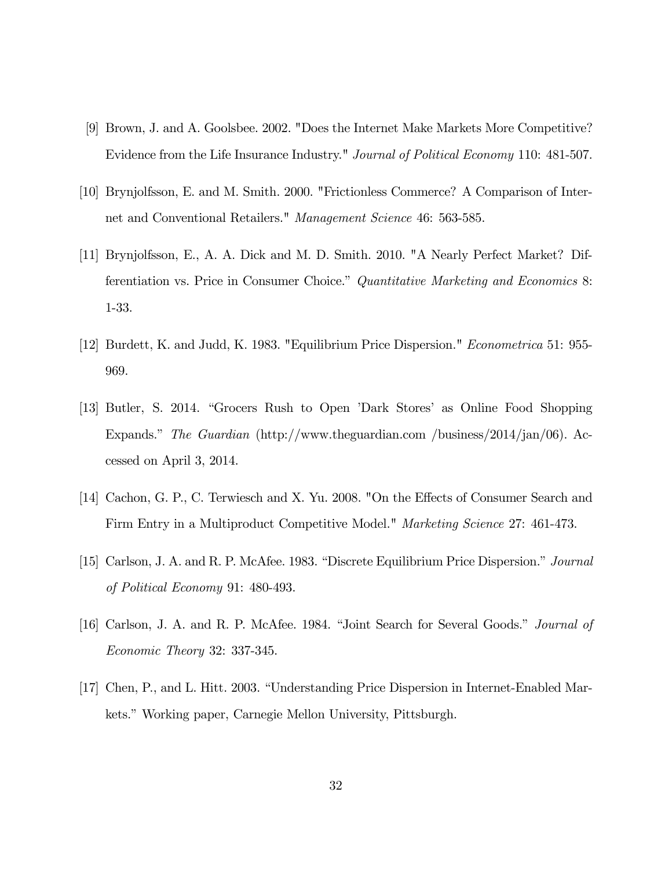- [9] Brown, J. and A. Goolsbee. 2002. "Does the Internet Make Markets More Competitive? Evidence from the Life Insurance Industry." *Journal of Political Economy* 110: 481-507.
- [10] Brynjolfsson, E. and M. Smith. 2000. "Frictionless Commerce? A Comparison of Internet and Conventional Retailers." Management Science 46: 563-585.
- [11] Brynjolfsson, E., A. A. Dick and M. D. Smith. 2010. "A Nearly Perfect Market? Differentiation vs. Price in Consumer Choice." Quantitative Marketing and Economics 8: 1-33.
- [12] Burdett, K. and Judd, K. 1983. "Equilibrium Price Dispersion." Econometrica 51: 955- 969.
- [13] Butler, S. 2014. "Grocers Rush to Open 'Dark Stores' as Online Food Shopping Expands." The Guardian (http://www.theguardian.com /business/2014/jan/06). Accessed on April 3, 2014.
- [14] Cachon, G. P., C. Terwiesch and X. Yu. 2008. "On the Effects of Consumer Search and Firm Entry in a Multiproduct Competitive Model." *Marketing Science* 27: 461-473.
- [15] Carlson, J. A. and R. P. McAfee. 1983. "Discrete Equilibrium Price Dispersion." Journal of Political Economy 91: 480-493.
- [16] Carlson, J. A. and R. P. McAfee. 1984. "Joint Search for Several Goods." Journal of Economic Theory 32: 337-345.
- [17] Chen, P., and L. Hitt. 2003. "Understanding Price Dispersion in Internet-Enabled Markets." Working paper, Carnegie Mellon University, Pittsburgh.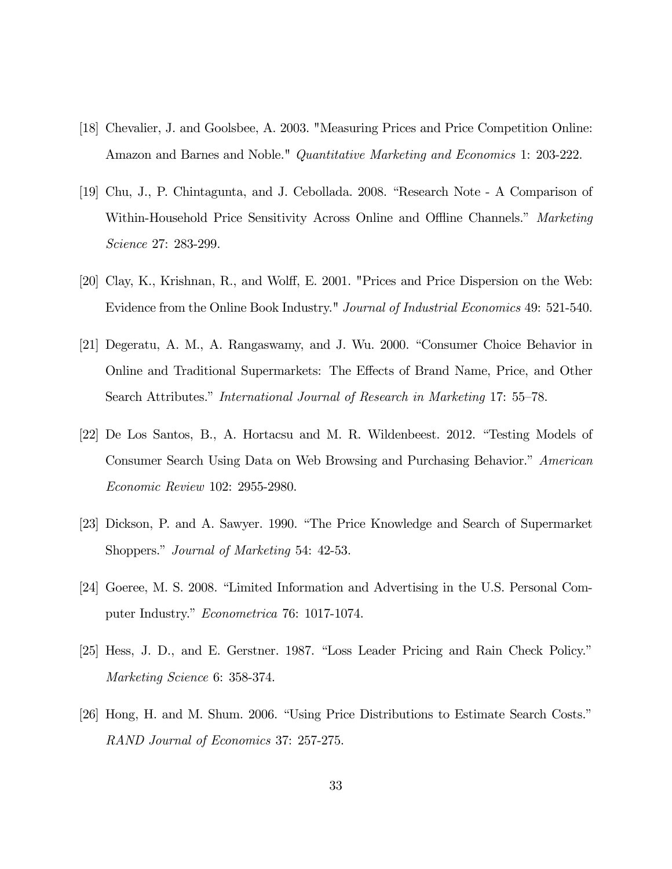- [18] Chevalier, J. and Goolsbee, A. 2003. "Measuring Prices and Price Competition Online: Amazon and Barnes and Noble." Quantitative Marketing and Economics 1: 203-222.
- [19] Chu, J., P. Chintagunta, and J. Cebollada. 2008. "Research Note A Comparison of Within-Household Price Sensitivity Across Online and Offline Channels." Marketing Science 27: 283-299.
- [20] Clay, K., Krishnan, R., and Wolff, E. 2001. "Prices and Price Dispersion on the Web: Evidence from the Online Book Industry." Journal of Industrial Economics 49: 521-540.
- [21] Degeratu, A. M., A. Rangaswamy, and J. Wu. 2000. "Consumer Choice Behavior in Online and Traditional Supermarkets: The Effects of Brand Name, Price, and Other Search Attributes." International Journal of Research in Marketing 17: 55—78.
- [22] De Los Santos, B., A. Hortacsu and M. R. Wildenbeest. 2012. "Testing Models of Consumer Search Using Data on Web Browsing and Purchasing Behavior." American Economic Review 102: 2955-2980.
- [23] Dickson, P. and A. Sawyer. 1990. "The Price Knowledge and Search of Supermarket Shoppers." Journal of Marketing 54: 42-53.
- [24] Goeree, M. S. 2008. "Limited Information and Advertising in the U.S. Personal Computer Industry." Econometrica 76: 1017-1074.
- [25] Hess, J. D., and E. Gerstner. 1987. "Loss Leader Pricing and Rain Check Policy." Marketing Science 6: 358-374.
- [26] Hong, H. and M. Shum. 2006. "Using Price Distributions to Estimate Search Costs." RAND Journal of Economics 37: 257-275.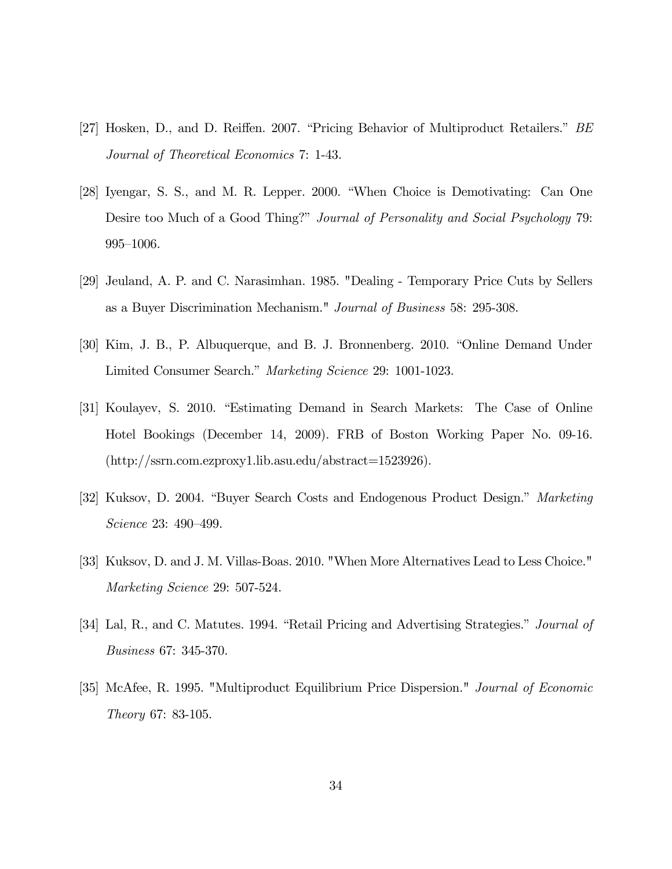- [27] Hosken, D., and D. Reiffen. 2007. "Pricing Behavior of Multiproduct Retailers." BE Journal of Theoretical Economics 7: 1-43.
- [28] Iyengar, S. S., and M. R. Lepper. 2000. "When Choice is Demotivating: Can One Desire too Much of a Good Thing?" Journal of Personality and Social Psychology 79: 995—1006.
- [29] Jeuland, A. P. and C. Narasimhan. 1985. "Dealing Temporary Price Cuts by Sellers as a Buyer Discrimination Mechanism." Journal of Business 58: 295-308.
- [30] Kim, J. B., P. Albuquerque, and B. J. Bronnenberg. 2010. "Online Demand Under Limited Consumer Search." Marketing Science 29: 1001-1023.
- [31] Koulayev, S. 2010. "Estimating Demand in Search Markets: The Case of Online Hotel Bookings (December 14, 2009). FRB of Boston Working Paper No. 09-16. (http://ssrn.com.ezproxy1.lib.asu.edu/abstract=1523926).
- [32] Kuksov, D. 2004. "Buyer Search Costs and Endogenous Product Design." Marketing Science 23: 490—499.
- [33] Kuksov, D. and J. M. Villas-Boas. 2010. "When More Alternatives Lead to Less Choice." Marketing Science 29: 507-524.
- [34] Lal, R., and C. Matutes. 1994. "Retail Pricing and Advertising Strategies." *Journal of* Business 67: 345-370.
- [35] McAfee, R. 1995. "Multiproduct Equilibrium Price Dispersion." Journal of Economic Theory 67: 83-105.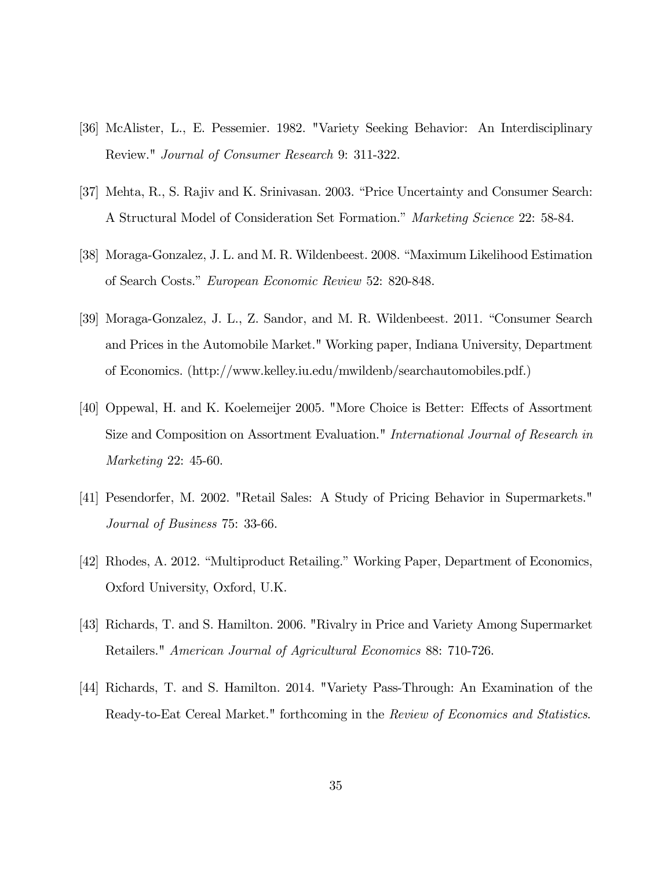- [36] McAlister, L., E. Pessemier. 1982. "Variety Seeking Behavior: An Interdisciplinary Review." Journal of Consumer Research 9: 311-322.
- [37] Mehta, R., S. Rajiv and K. Srinivasan. 2003. "Price Uncertainty and Consumer Search: A Structural Model of Consideration Set Formation." Marketing Science 22: 58-84.
- [38] Moraga-Gonzalez, J. L. and M. R. Wildenbeest. 2008. "Maximum Likelihood Estimation of Search Costs." European Economic Review 52: 820-848.
- [39] Moraga-Gonzalez, J. L., Z. Sandor, and M. R. Wildenbeest. 2011. "Consumer Search and Prices in the Automobile Market." Working paper, Indiana University, Department of Economics. (http://www.kelley.iu.edu/mwildenb/searchautomobiles.pdf.)
- [40] Oppewal, H. and K. Koelemeijer 2005. "More Choice is Better: Effects of Assortment Size and Composition on Assortment Evaluation." International Journal of Research in Marketing 22: 45-60.
- [41] Pesendorfer, M. 2002. "Retail Sales: A Study of Pricing Behavior in Supermarkets." Journal of Business 75: 33-66.
- [42] Rhodes, A. 2012. "Multiproduct Retailing." Working Paper, Department of Economics, Oxford University, Oxford, U.K.
- [43] Richards, T. and S. Hamilton. 2006. "Rivalry in Price and Variety Among Supermarket Retailers." American Journal of Agricultural Economics 88: 710-726.
- [44] Richards, T. and S. Hamilton. 2014. "Variety Pass-Through: An Examination of the Ready-to-Eat Cereal Market." forthcoming in the Review of Economics and Statistics.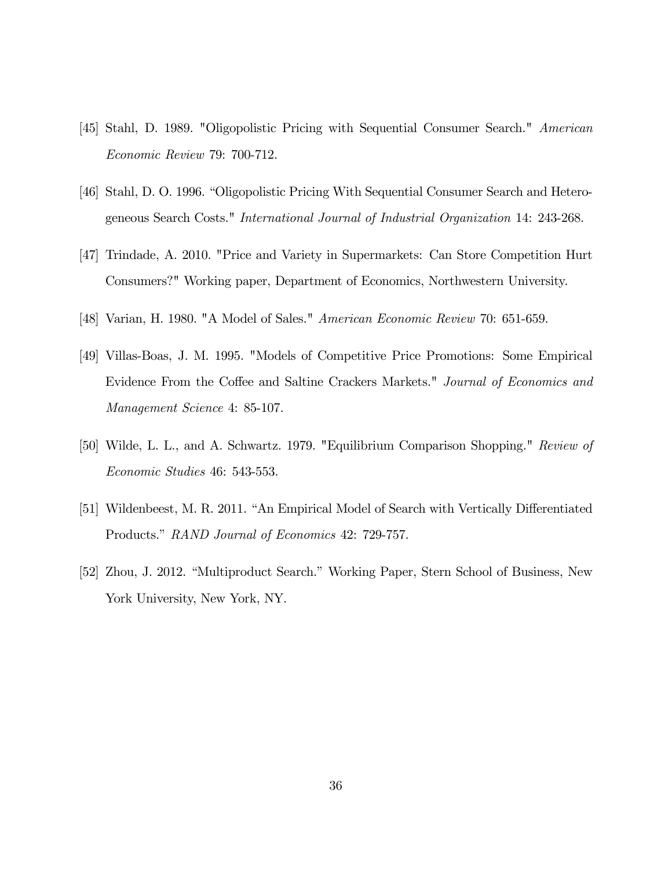- [45] Stahl, D. 1989. "Oligopolistic Pricing with Sequential Consumer Search." American Economic Review 79: 700-712.
- [46] Stahl, D. O. 1996. "Oligopolistic Pricing With Sequential Consumer Search and Heterogeneous Search Costs." International Journal of Industrial Organization 14: 243-268.
- [47] Trindade, A. 2010. "Price and Variety in Supermarkets: Can Store Competition Hurt Consumers?" Working paper, Department of Economics, Northwestern University.
- [48] Varian, H. 1980. "A Model of Sales." American Economic Review 70: 651-659.
- [49] Villas-Boas, J. M. 1995. "Models of Competitive Price Promotions: Some Empirical Evidence From the Coffee and Saltine Crackers Markets." Journal of Economics and Management Science 4: 85-107.
- [50] Wilde, L. L., and A. Schwartz. 1979. "Equilibrium Comparison Shopping." Review of Economic Studies 46: 543-553.
- [51] Wildenbeest, M. R. 2011. "An Empirical Model of Search with Vertically Differentiated Products." RAND Journal of Economics 42: 729-757.
- [52] Zhou, J. 2012. "Multiproduct Search." Working Paper, Stern School of Business, New York University, New York, NY.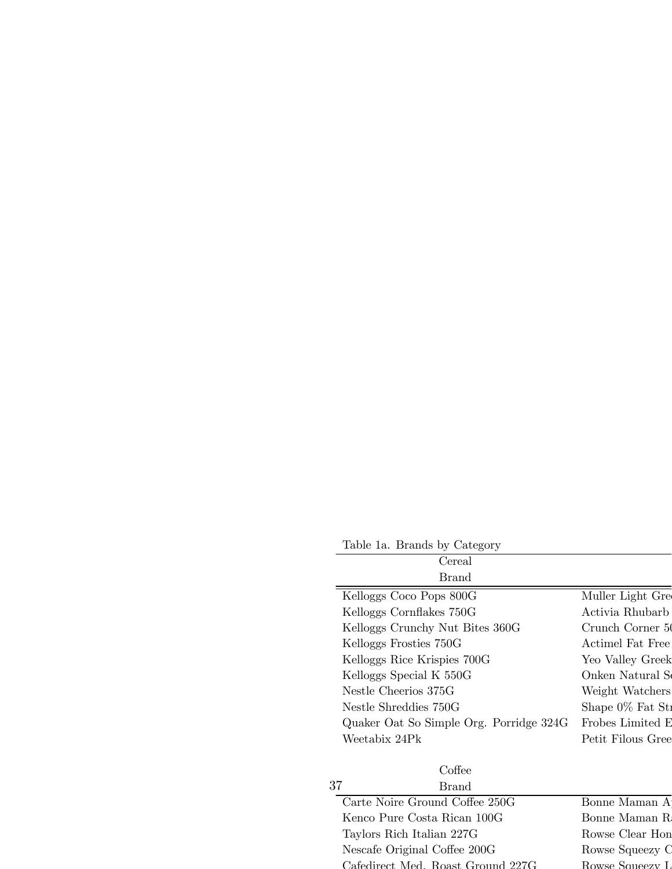Table 1a. Brands by Category Cereal Brand Kelloggs Coco Pops 800G Muller Light Gre Kelloggs Cornflakes 750G Activia Rhubarb Kelloggs Crunchy Nut Bites 360G Crunch Corner 50 Kelloggs Frosties 750G Actimel Fat Free Kelloggs Rice Krispies 700G Yeo Valley Greek Kelloggs Special K 550G Onken Natural S Nestle Cheerios 375G Weight Watchers Nestle Shreddies 750G Shape 0% Fat St Quaker Oat So Simple Org. Porridge 324G Frobes Limited E Weetabix 24Pk Petit Filous Gree Coffee Brand Carte Noire Ground Coffee 250G Bonne Maman A Kenco Pure Costa Rican 100G Bonne Maman R Taylors Rich Italian 227G Rowse Clear Hon 37

Nescafe Original Coffee 200G Rowse Squeezy C Cafedirect Med. Roast Ground 227G Rowse Squeezy L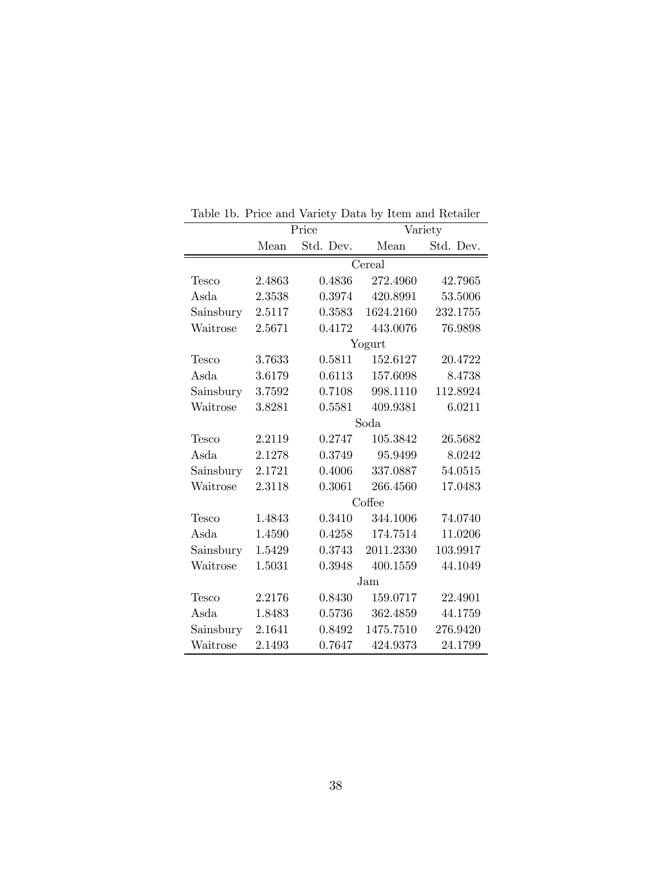|           | Price  |           | Variety   |           |  |  |
|-----------|--------|-----------|-----------|-----------|--|--|
|           | Mean   | Std. Dev. | Mean      | Std. Dev. |  |  |
|           | Cereal |           |           |           |  |  |
| Tesco     | 2.4863 | 0.4836    | 272.4960  | 42.7965   |  |  |
| Asda      | 2.3538 | 0.3974    | 420.8991  | 53.5006   |  |  |
| Sainsbury | 2.5117 | 0.3583    | 1624.2160 | 232.1755  |  |  |
| Waitrose  | 2.5671 | 0.4172    | 443.0076  | 76.9898   |  |  |
|           |        |           | Yogurt    |           |  |  |
| Tesco     | 3.7633 | 0.5811    | 152.6127  | 20.4722   |  |  |
| Asda      | 3.6179 | 0.6113    | 157.6098  | 8.4738    |  |  |
| Sainsbury | 3.7592 | 0.7108    | 998.1110  | 112.8924  |  |  |
| Waitrose  | 3.8281 | 0.5581    | 409.9381  | 6.0211    |  |  |
|           | Soda   |           |           |           |  |  |
| Tesco     | 2.2119 | 0.2747    | 105.3842  | 26.5682   |  |  |
| Asda      | 2.1278 | 0.3749    | 95.9499   | 8.0242    |  |  |
| Sainsbury | 2.1721 | 0.4006    | 337.0887  | 54.0515   |  |  |
| Waitrose  | 2.3118 | 0.3061    | 266.4560  | 17.0483   |  |  |
|           |        | Coffee    |           |           |  |  |
| Tesco     | 1.4843 | 0.3410    | 344.1006  | 74.0740   |  |  |
| Asda      | 1.4590 | 0.4258    | 174.7514  | 11.0206   |  |  |
| Sainsbury | 1.5429 | 0.3743    | 2011.2330 | 103.9917  |  |  |
| Waitrose  | 1.5031 | 0.3948    | 400.1559  | 44.1049   |  |  |
|           | Jam    |           |           |           |  |  |
| Tesco     | 2.2176 | 0.8430    | 159.0717  | 22.4901   |  |  |
| Asda      | 1.8483 | 0.5736    | 362.4859  | 44.1759   |  |  |
| Sainsbury | 2.1641 | 0.8492    | 1475.7510 | 276.9420  |  |  |
| Waitrose  | 2.1493 | 0.7647    | 424.9373  | 24.1799   |  |  |

Table 1b. Price and Variety Data by Item and Retailer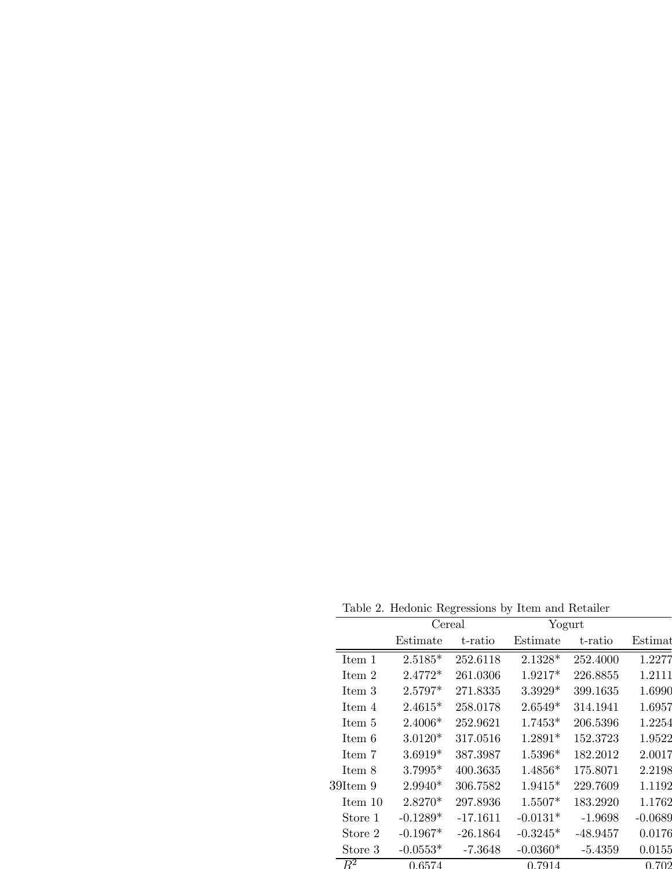Table 2. Hedonic Regressions by Item and Retailer

|                  |            | $\frac{1}{2}$ | $\sim$     |            |           |
|------------------|------------|---------------|------------|------------|-----------|
|                  | Cereal     |               | Yogurt     |            |           |
|                  | Estimate   | t-ratio       | Estimate   | t-ratio    | Estimat   |
| Item 1           | $2.5185*$  | 252.6118      | $2.1328*$  | 252.4000   | 1.2277    |
| Item 2           | $2.4772*$  | 261.0306      | 1.9217*    | 226.8855   | 1.2111    |
| Item 3           | 2.5797*    | 271.8335      | $3.3929*$  | 399.1635   | 1.6990    |
| Item 4           | $2.4615*$  | 258.0178      | $2.6549*$  | 314.1941   | 1.6957    |
| Item 5           | $2.4006*$  | 252.9621      | $1.7453*$  | 206.5396   | 1.2254    |
| Item 6           | $3.0120*$  | 317.0516      | $1.2891*$  | 152.3723   | 1.9522    |
| Item 7           | $3.6919*$  | 387.3987      | $1.5396*$  | 182.2012   | 2.0017    |
| Item 8           | $3.7995*$  | 400.3635      | $1.4856*$  | 175.8071   | 2.2198    |
| $39$ Item $9$    | $2.9940*$  | 306.7582      | $1.9415*$  | 229.7609   | 1.1192    |
| Item 10          | 2.8270*    | 297.8936      | $1.5507*$  | 183.2920   | 1.1762    |
| Store 1          | $-0.1289*$ | $-17.1611$    | $-0.0131*$ | $-1.9698$  | $-0.0689$ |
| Store 2          | $-0.1967*$ | $-26.1864$    | $-0.3245*$ | $-48.9457$ | 0.0176    |
| Store 3          | $-0.0553*$ | $-7.3648$     | $-0.0360*$ | $-5.4359$  | 0.0155    |
| $\overline{R^2}$ | 0.6574     |               | 0.7914     |            | 0.702     |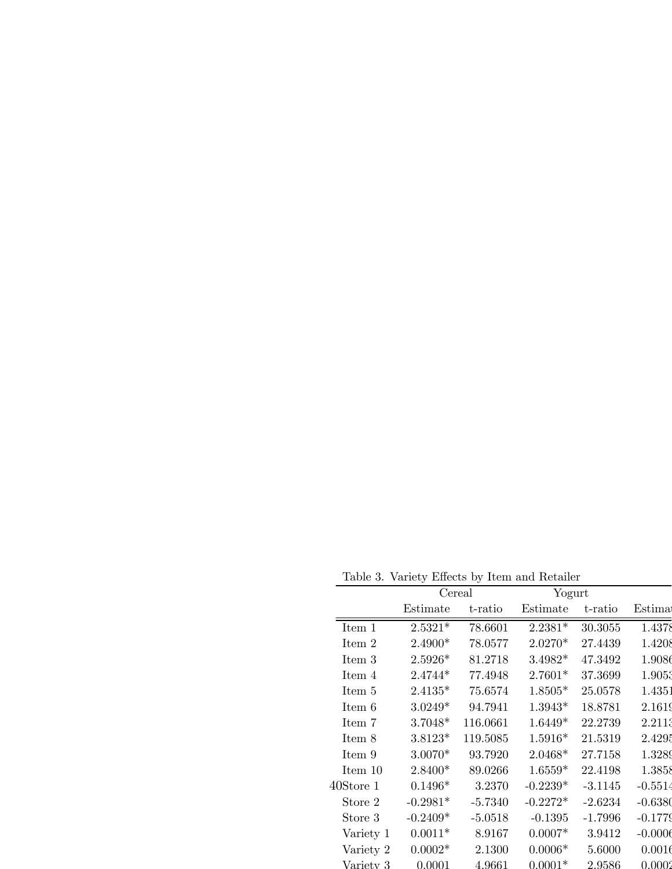Table 3. Variety Effects by Item and Retailer

|              | rapie 9. Variety Effects by reem and retailer |           |            |           |           |
|--------------|-----------------------------------------------|-----------|------------|-----------|-----------|
|              | Cereal                                        |           | Yogurt     |           |           |
|              | Estimate                                      | t-ratio   | Estimate   | t-ratio   | Estima    |
| Item 1       | $2.5321*$                                     | 78.6601   | $2.2381*$  | 30.3055   | 1.4378    |
| Item 2       | 2.4900*                                       | 78.0577   | 2.0270*    | 27.4439   | 1.4208    |
| Item 3       | $2.5926*$                                     | 81.2718   | $3.4982*$  | 47.3492   | 1.9086    |
| Item 4       | $2.4744*$                                     | 77.4948   | $2.7601*$  | 37.3699   | 1.9053    |
| Item 5       | $2.4135*$                                     | 75.6574   | $1.8505*$  | 25.0578   | 1.4351    |
| Item 6       | $3.0249*$                                     | 94.7941   | $1.3943*$  | 18.8781   | 2.1619    |
| Item 7       | $3.7048*$                                     | 116.0661  | $1.6449*$  | 22.2739   | 2.2113    |
| Item 8       | $3.8123*$                                     | 119.5085  | $1.5916*$  | 21.5319   | 2.4295    |
| Item 9       | $3.0070*$                                     | 93.7920   | $2.0468*$  | 27.7158   | 1.3289    |
| Item $10$    | 2.8400*                                       | 89.0266   | $1.6559*$  | 22.4198   | 1.3858    |
| $40$ Store 1 | $0.1496*$                                     | 3.2370    | $-0.2239*$ | $-3.1145$ | $-0.5514$ |
| Store 2      | $-0.2981*$                                    | $-5.7340$ | $-0.2272*$ | $-2.6234$ | $-0.6380$ |
| Store 3      | $-0.2409*$                                    | $-5.0518$ | $-0.1395$  | $-1.7996$ | $-0.1779$ |
| Variety 1    | $0.0011*$                                     | 8.9167    | $0.0007*$  | 3.9412    | $-0.0006$ |
| Variety 2    | $0.0002*$                                     | 2.1300    | $0.0006*$  | 5.6000    | 0.0016    |
| Variety 3    | 0.0001                                        | 4.9661    | $0.0001*$  | 2.9586    | 0.0002    |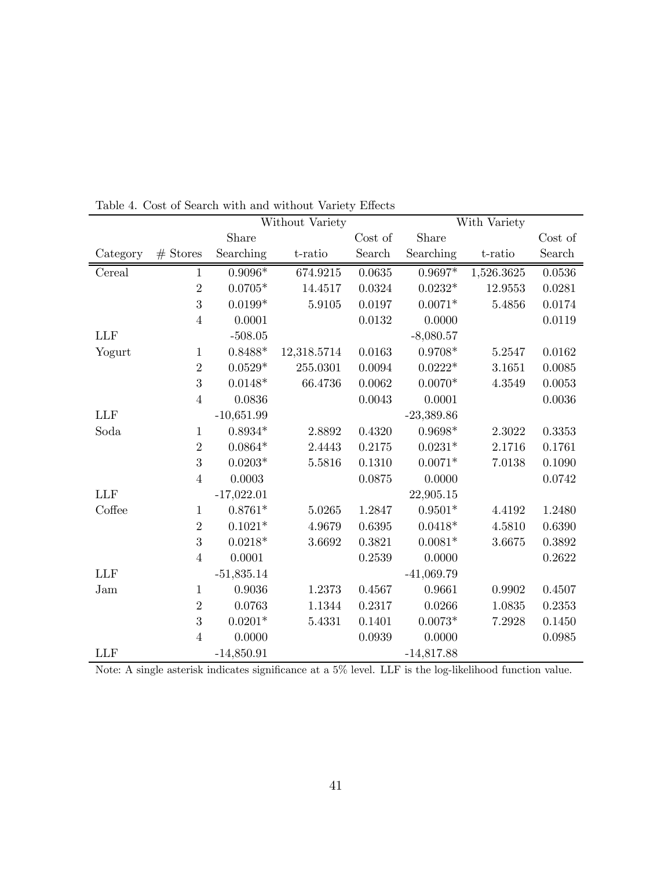|            |                | Without Variety |             |              | With Variety |            |         |  |
|------------|----------------|-----------------|-------------|--------------|--------------|------------|---------|--|
|            |                | Share           |             | Cost of      | Share        |            | Cost of |  |
| Category   | $#$ Stores     | Searching       | t-ratio     | Search       | Searching    | t-ratio    | Search  |  |
| Cereal     | $\mathbf{1}$   | $0.9096*$       | 674.9215    | 0.0635       | $0.9697*$    | 1,526.3625 | 0.0536  |  |
|            | $\overline{2}$ | $0.0705*$       | 14.4517     | 0.0324       | $0.0232*$    | 12.9553    | 0.0281  |  |
|            | 3              | $0.0199*$       | 5.9105      | 0.0197       | $0.0071*$    | 5.4856     | 0.0174  |  |
|            | $\overline{4}$ | 0.0001          |             | 0.0132       | 0.0000       |            | 0.0119  |  |
| <b>LLF</b> |                | $-508.05$       |             |              | $-8,080.57$  |            |         |  |
| Yogurt     | $\mathbf{1}$   | $0.8488*$       | 12,318.5714 | 0.0163       | $0.9708*$    | 5.2547     | 0.0162  |  |
|            | $\overline{2}$ | $0.0529*$       | 255.0301    | $\,0.0094\,$ | $0.0222*$    | 3.1651     | 0.0085  |  |
|            | 3              | $0.0148*$       | 66.4736     | 0.0062       | $0.0070*$    | 4.3549     | 0.0053  |  |
|            | $\overline{4}$ | 0.0836          |             | 0.0043       | 0.0001       |            | 0.0036  |  |
| <b>LLF</b> |                | $-10,651.99$    |             |              | $-23,389.86$ |            |         |  |
| Soda       | $\mathbf{1}$   | $0.8934*$       | 2.8892      | 0.4320       | $0.9698*$    | 2.3022     | 0.3353  |  |
|            | $\overline{2}$ | $0.0864*$       | 2.4443      | 0.2175       | $0.0231*$    | 2.1716     | 0.1761  |  |
|            | 3              | $0.0203*$       | 5.5816      | 0.1310       | $0.0071*$    | 7.0138     | 0.1090  |  |
|            | $\overline{4}$ | 0.0003          |             | 0.0875       | 0.0000       |            | 0.0742  |  |
| <b>LLF</b> |                | $-17,022.01$    |             |              | 22,905.15    |            |         |  |
| Coffee     | $\mathbf{1}$   | $0.8761*$       | 5.0265      | 1.2847       | $0.9501*$    | 4.4192     | 1.2480  |  |
|            | $\overline{2}$ | $0.1021*$       | 4.9679      | 0.6395       | $0.0418*$    | 4.5810     | 0.6390  |  |
|            | 3              | $0.0218*$       | 3.6692      | 0.3821       | $0.0081*$    | 3.6675     | 0.3892  |  |
|            | $\overline{4}$ | 0.0001          |             | 0.2539       | 0.0000       |            | 0.2622  |  |
| <b>LLF</b> |                | $-51,835.14$    |             |              | $-41,069.79$ |            |         |  |
| Jam        | $\mathbf{1}$   | 0.9036          | 1.2373      | 0.4567       | 0.9661       | 0.9902     | 0.4507  |  |
|            | $\overline{2}$ | 0.0763          | 1.1344      | 0.2317       | 0.0266       | 1.0835     | 0.2353  |  |
|            | 3              | $0.0201*$       | 5.4331      | 0.1401       | $0.0073*$    | 7.2928     | 0.1450  |  |
|            | $\overline{4}$ | 0.0000          |             | 0.0939       | 0.0000       |            | 0.0985  |  |
| <b>LLF</b> |                | $-14,850.91$    |             |              | $-14,817.88$ |            |         |  |

Table 4. Cost of Search with and without Variety Effects

Note: A single asterisk indicates significance at a 5% level. LLF is the log-likelihood function value.